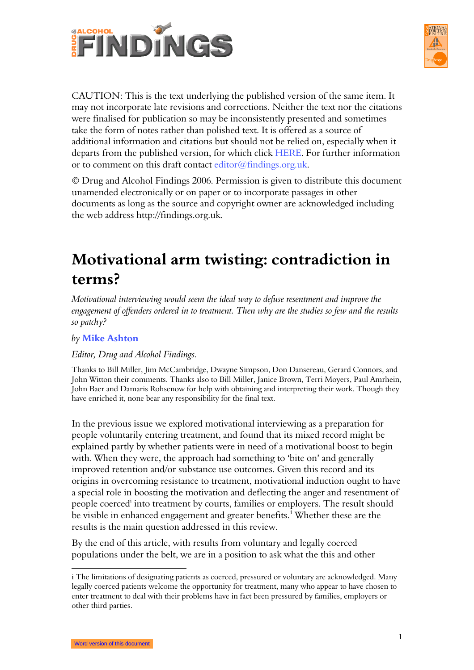



CAUTION: This is the text underlying the published version of the same item. It may not incorporate late revisions and corrections. Neither the text nor the citations were finalised for publication so may be inconsistently presented and sometimes take the form of notes rather than polished text. It is offered as a source of additional information and citations but should not be relied on, especially when it departs from the published version, for which click HERE. For further information or to comment on this draft contact editor@findings.org.uk.

© Drug and Alcohol Findings 2006. Permission is given to distribute this document unamended electronically or on paper or to incorporate passages in other documents as long as the source and copyright owner are acknowledged including the web address http://findings.org.uk.

# Motivational arm twisting: contradiction in terms?

Motivational interviewing would seem the ideal way to defuse resentment and improve the engagement of offenders ordered in to treatment. Then why are the studies so few and the results so patchy?

#### by Mike Ashton

#### Editor, Drug and Alcohol Findings.

Thanks to Bill Miller, Jim McCambridge, Dwayne Simpson, Don Dansereau, Gerard Connors, and John Witton their comments. Thanks also to Bill Miller, Janice Brown, Terri Moyers, Paul Amrhein, John Baer and Damaris Rohsenow for help with obtaining and interpreting their work. Though they have enriched it, none bear any responsibility for the final text.

In the previous issue we explored motivational interviewing as a preparation for people voluntarily entering treatment, and found that its mixed record might be explained partly by whether patients were in need of a motivational boost to begin with. When they were, the approach had something to 'bite on' and generally improved retention and/or substance use outcomes. Given this record and its origins in overcoming resistance to treatment, motivational induction ought to have a special role in boosting the motivation and deflecting the anger and resentment of people coerced<sup>i</sup> into treatment by courts, families or employers. The result should be visible in enhanced engagement and greater benefits.<sup>1</sup> Whether these are the results is the main question addressed in this review.

By the end of this article, with results from voluntary and legally coerced populations under the belt, we are in a position to ask what the this and other

i The limitations of designating patients as coerced, pressured or voluntary are acknowledged. Many legally coerced patients welcome the opportunity for treatment, many who appear to have chosen to enter treatment to deal with their problems have in fact been pressured by families, employers or other third parties.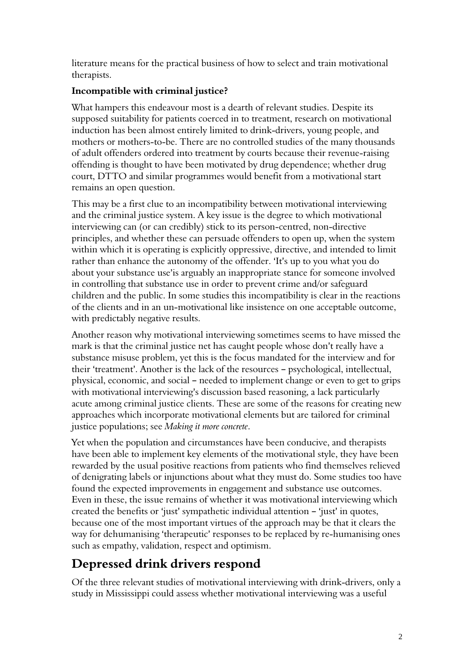literature means for the practical business of how to select and train motivational therapists.

#### Incompatible with criminal justice?

What hampers this endeavour most is a dearth of relevant studies. Despite its supposed suitability for patients coerced in to treatment, research on motivational induction has been almost entirely limited to drink-drivers, young people, and mothers or mothers-to-be. There are no controlled studies of the many thousands of adult offenders ordered into treatment by courts because their revenue-raising offending is thought to have been motivated by drug dependence; whether drug court, DTTO and similar programmes would benefit from a motivational start remains an open question.

This may be a first clue to an incompatibility between motivational interviewing and the criminal justice system. A key issue is the degree to which motivational interviewing can (or can credibly) stick to its person-centred, non-directive principles, and whether these can persuade offenders to open up, when the system within which it is operating is explicitly oppressive, directive, and intended to limit rather than enhance the autonomy of the offender. 'It's up to you what you do about your substance use' is arguably an inappropriate stance for someone involved in controlling that substance use in order to prevent crime and/or safeguard children and the public. In some studies this incompatibility is clear in the reactions of the clients and in an un-motivational like insistence on one acceptable outcome, with predictably negative results.

Another reason why motivational interviewing sometimes seems to have missed the mark is that the criminal justice net has caught people whose don't really have a substance misuse problem, yet this is the focus mandated for the interview and for their 'treatment'. Another is the lack of the resources - psychological, intellectual, physical, economic, and social - needed to implement change or even to get to grips with motivational interviewing's discussion based reasoning, a lack particularly acute among criminal justice clients. These are some of the reasons for creating new approaches which incorporate motivational elements but are tailored for criminal justice populations; see Making it more concrete.

Yet when the population and circumstances have been conducive, and therapists have been able to implement key elements of the motivational style, they have been rewarded by the usual positive reactions from patients who find themselves relieved of denigrating labels or injunctions about what they must do. Some studies too have found the expected improvements in engagement and substance use outcomes. Even in these, the issue remains of whether it was motivational interviewing which created the benefits or 'just' sympathetic individual attention  $-$  'just' in quotes, because one of the most important virtues of the approach may be that it clears the way for dehumanising 'therapeutic' responses to be replaced by re-humanising ones such as empathy, validation, respect and optimism.

## Depressed drink drivers respond

Of the three relevant studies of motivational interviewing with drink-drivers, only a study in Mississippi could assess whether motivational interviewing was a useful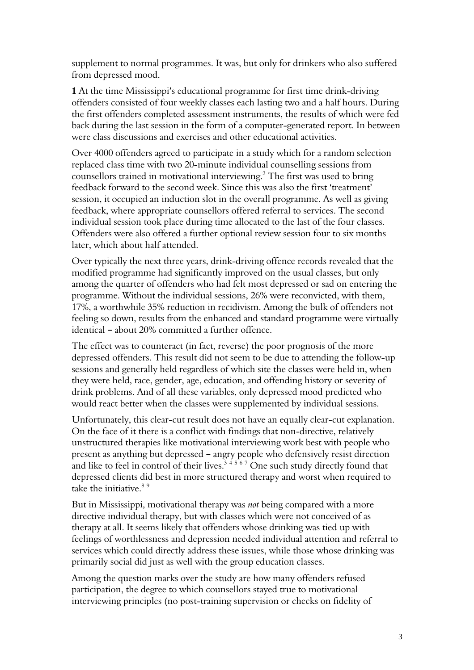supplement to normal programmes. It was, but only for drinkers who also suffered from depressed mood.

1 At the time Mississippi's educational programme for first time drink-driving offenders consisted of four weekly classes each lasting two and a half hours. During the first offenders completed assessment instruments, the results of which were fed back during the last session in the form of a computer-generated report. In between were class discussions and exercises and other educational activities.

Over 4000 offenders agreed to participate in a study which for a random selection replaced class time with two 20-minute individual counselling sessions from counsellors trained in motivational interviewing. $^2$  The first was used to bring feedback forward to the second week. Since this was also the first 'treatment' session, it occupied an induction slot in the overall programme. As well as giving feedback, where appropriate counsellors offered referral to services. The second individual session took place during time allocated to the last of the four classes. Offenders were also offered a further optional review session four to six months later, which about half attended.

Over typically the next three years, drink-driving offence records revealed that the modified programme had significantly improved on the usual classes, but only among the quarter of offenders who had felt most depressed or sad on entering the programme. Without the individual sessions, 26% were reconvicted, with them, 17%, a worthwhile 35% reduction in recidivism. Among the bulk of offenders not feeling so down, results from the enhanced and standard programme were virtually identical - about  $20\%$  committed a further offence.

The effect was to counteract (in fact, reverse) the poor prognosis of the more depressed offenders. This result did not seem to be due to attending the follow-up sessions and generally held regardless of which site the classes were held in, when they were held, race, gender, age, education, and offending history or severity of drink problems. And of all these variables, only depressed mood predicted who would react better when the classes were supplemented by individual sessions.

Unfortunately, this clear-cut result does not have an equally clear-cut explanation. On the face of it there is a conflict with findings that non-directive, relatively unstructured therapies like motivational interviewing work best with people who present as anything but depressed - angry people who defensively resist direction and like to feel in control of their lives. $^{3+5|6|7}$  One such study directly found that depressed clients did best in more structured therapy and worst when required to take the initiative.<sup>89</sup>

But in Mississippi, motivational therapy was not being compared with a more directive individual therapy, but with classes which were not conceived of as therapy at all. It seems likely that offenders whose drinking was tied up with feelings of worthlessness and depression needed individual attention and referral to services which could directly address these issues, while those whose drinking was primarily social did just as well with the group education classes.

Among the question marks over the study are how many offenders refused participation, the degree to which counsellors stayed true to motivational interviewing principles (no post-training supervision or checks on fidelity of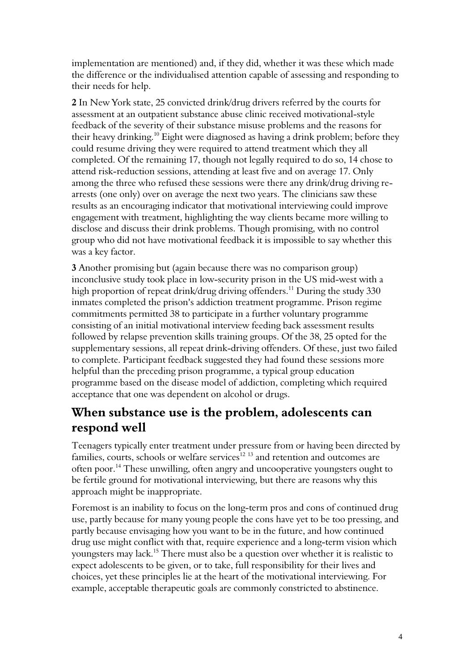implementation are mentioned) and, if they did, whether it was these which made the difference or the individualised attention capable of assessing and responding to their needs for help.

2 In New York state, 25 convicted drink/drug drivers referred by the courts for assessment at an outpatient substance abuse clinic received motivational-style feedback of the severity of their substance misuse problems and the reasons for their heavy drinking.<sup>10</sup> Eight were diagnosed as having a drink problem; before they could resume driving they were required to attend treatment which they all completed. Of the remaining 17, though not legally required to do so, 14 chose to attend risk-reduction sessions, attending at least five and on average 17. Only among the three who refused these sessions were there any drink/drug driving rearrests (one only) over on average the next two years. The clinicians saw these results as an encouraging indicator that motivational interviewing could improve engagement with treatment, highlighting the way clients became more willing to disclose and discuss their drink problems. Though promising, with no control group who did not have motivational feedback it is impossible to say whether this was a key factor.

3 Another promising but (again because there was no comparison group) inconclusive study took place in low-security prison in the US mid-west with a high proportion of repeat drink/drug driving offenders.<sup>11</sup> During the study 330 inmates completed the prison's addiction treatment programme. Prison regime commitments permitted 38 to participate in a further voluntary programme consisting of an initial motivational interview feeding back assessment results followed by relapse prevention skills training groups. Of the 38, 25 opted for the supplementary sessions, all repeat drink-driving offenders. Of these, just two failed to complete. Participant feedback suggested they had found these sessions more helpful than the preceding prison programme, a typical group education programme based on the disease model of addiction, completing which required acceptance that one was dependent on alcohol or drugs.

### When substance use is the problem, adolescents can respond well

Teenagers typically enter treatment under pressure from or having been directed by families, courts, schools or welfare services<sup>12 13</sup> and retention and outcomes are often poor.<sup>14</sup> These unwilling, often angry and uncooperative youngsters ought to be fertile ground for motivational interviewing, but there are reasons why this approach might be inappropriate.

Foremost is an inability to focus on the long-term pros and cons of continued drug use, partly because for many young people the cons have yet to be too pressing, and partly because envisaging how you want to be in the future, and how continued drug use might conflict with that, require experience and a long-term vision which youngsters may lack.<sup>15</sup> There must also be a question over whether it is realistic to expect adolescents to be given, or to take, full responsibility for their lives and choices, yet these principles lie at the heart of the motivational interviewing. For example, acceptable therapeutic goals are commonly constricted to abstinence.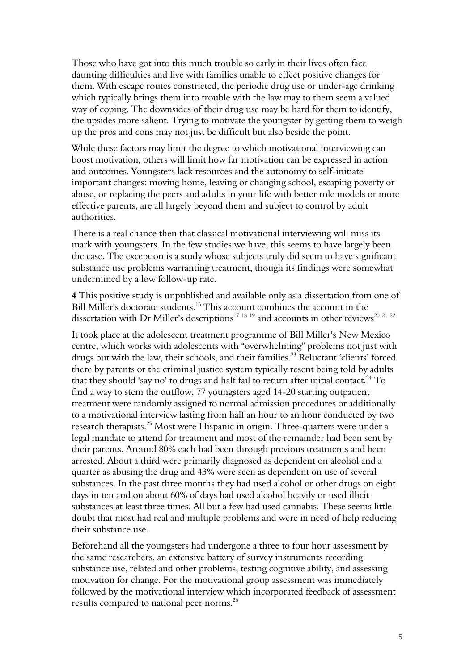Those who have got into this much trouble so early in their lives often face daunting difficulties and live with families unable to effect positive changes for them. With escape routes constricted, the periodic drug use or under-age drinking which typically brings them into trouble with the law may to them seem a valued way of coping. The downsides of their drug use may be hard for them to identify, the upsides more salient. Trying to motivate the youngster by getting them to weigh up the pros and cons may not just be difficult but also beside the point.

While these factors may limit the degree to which motivational interviewing can boost motivation, others will limit how far motivation can be expressed in action and outcomes. Youngsters lack resources and the autonomy to self-initiate important changes: moving home, leaving or changing school, escaping poverty or abuse, or replacing the peers and adults in your life with better role models or more effective parents, are all largely beyond them and subject to control by adult authorities.

There is a real chance then that classical motivational interviewing will miss its mark with youngsters. In the few studies we have, this seems to have largely been the case. The exception is a study whose subjects truly did seem to have significant substance use problems warranting treatment, though its findings were somewhat undermined by a low follow-up rate.

4 This positive study is unpublished and available only as a dissertation from one of Bill Miller's doctorate students.<sup>16</sup> This account combines the account in the dissertation with Dr Miller's descriptions<sup>17 18 19</sup> and accounts in other reviews<sup>20 21 22</sup>

It took place at the adolescent treatment programme of Bill Miller's New Mexico centre, which works with adolescents with "overwhelming" problems not just with drugs but with the law, their schools, and their families.<sup>23</sup> Reluctant 'clients' forced there by parents or the criminal justice system typically resent being told by adults that they should 'say no' to drugs and half fail to return after initial contact.<sup>24</sup> To find a way to stem the outflow, 77 youngsters aged 14-20 starting outpatient treatment were randomly assigned to normal admission procedures or additionally to a motivational interview lasting from half an hour to an hour conducted by two research therapists.<sup>25</sup> Most were Hispanic in origin. Three-quarters were under a legal mandate to attend for treatment and most of the remainder had been sent by their parents. Around 80% each had been through previous treatments and been arrested. About a third were primarily diagnosed as dependent on alcohol and a quarter as abusing the drug and 43% were seen as dependent on use of several substances. In the past three months they had used alcohol or other drugs on eight days in ten and on about 60% of days had used alcohol heavily or used illicit substances at least three times. All but a few had used cannabis. These seems little doubt that most had real and multiple problems and were in need of help reducing their substance use.

Beforehand all the youngsters had undergone a three to four hour assessment by the same researchers, an extensive battery of survey instruments recording substance use, related and other problems, testing cognitive ability, and assessing motivation for change. For the motivational group assessment was immediately followed by the motivational interview which incorporated feedback of assessment results compared to national peer norms.<sup>26</sup>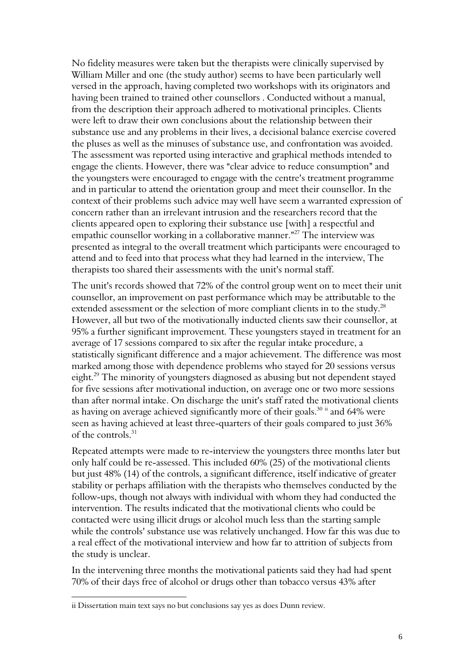No fidelity measures were taken but the therapists were clinically supervised by William Miller and one (the study author) seems to have been particularly well versed in the approach, having completed two workshops with its originators and having been trained to trained other counsellors . Conducted without a manual, from the description their approach adhered to motivational principles. Clients were left to draw their own conclusions about the relationship between their substance use and any problems in their lives, a decisional balance exercise covered the pluses as well as the minuses of substance use, and confrontation was avoided. The assessment was reported using interactive and graphical methods intended to engage the clients. However, there was "clear advice to reduce consumption" and the youngsters were encouraged to engage with the centre's treatment programme and in particular to attend the orientation group and meet their counsellor. In the context of their problems such advice may well have seem a warranted expression of concern rather than an irrelevant intrusion and the researchers record that the clients appeared open to exploring their substance use [with] a respectful and empathic counsellor working in a collaborative manner."<sup>27</sup> The interview was presented as integral to the overall treatment which participants were encouraged to attend and to feed into that process what they had learned in the interview, The therapists too shared their assessments with the unit's normal staff.

The unit's records showed that 72% of the control group went on to meet their unit counsellor, an improvement on past performance which may be attributable to the extended assessment or the selection of more compliant clients in to the study.<sup>28</sup> However, all but two of the motivationally inducted clients saw their counsellor, at 95% a further significant improvement. These youngsters stayed in treatment for an average of 17 sessions compared to six after the regular intake procedure, a statistically significant difference and a major achievement. The difference was most marked among those with dependence problems who stayed for 20 sessions versus eight.<sup>29</sup> The minority of youngsters diagnosed as abusing but not dependent stayed for five sessions after motivational induction, on average one or two more sessions than after normal intake. On discharge the unit's staff rated the motivational clients as having on average achieved significantly more of their goals.<sup>30 ii</sup> and 64% were seen as having achieved at least three-quarters of their goals compared to just 36% of the controls.<sup>31</sup>

Repeated attempts were made to re-interview the youngsters three months later but only half could be re-assessed. This included 60% (25) of the motivational clients but just 48% (14) of the controls, a significant difference, itself indicative of greater stability or perhaps affiliation with the therapists who themselves conducted by the follow-ups, though not always with individual with whom they had conducted the intervention. The results indicated that the motivational clients who could be contacted were using illicit drugs or alcohol much less than the starting sample while the controls' substance use was relatively unchanged. How far this was due to a real effect of the motivational interview and how far to attrition of subjects from the study is unclear.

In the intervening three months the motivational patients said they had had spent 70% of their days free of alcohol or drugs other than tobacco versus 43% after

ii Dissertation main text says no but conclusions say yes as does Dunn review.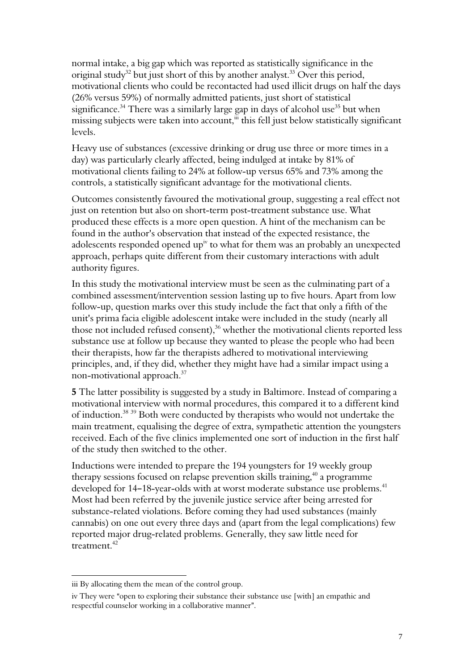normal intake, a big gap which was reported as statistically significance in the original study<sup>32</sup> but just short of this by another analyst.<sup>33</sup> Over this period, motivational clients who could be recontacted had used illicit drugs on half the days (26% versus 59%) of normally admitted patients, just short of statistical significance.<sup>34</sup> There was a similarly large gap in days of alcohol use<sup>35</sup> but when missing subjects were taken into account, $\ddot{m}$  this fell just below statistically significant levels.

Heavy use of substances (excessive drinking or drug use three or more times in a day) was particularly clearly affected, being indulged at intake by 81% of motivational clients failing to 24% at follow-up versus 65% and 73% among the controls, a statistically significant advantage for the motivational clients.

Outcomes consistently favoured the motivational group, suggesting a real effect not just on retention but also on short-term post-treatment substance use. What produced these effects is a more open question. A hint of the mechanism can be found in the author's observation that instead of the expected resistance, the adolescents responded opened up<sup>iv</sup> to what for them was an probably an unexpected approach, perhaps quite different from their customary interactions with adult authority figures.

In this study the motivational interview must be seen as the culminating part of a combined assessment/intervention session lasting up to five hours. Apart from low follow-up, question marks over this study include the fact that only a fifth of the unit's prima facia eligible adolescent intake were included in the study (nearly all those not included refused consent),<sup>36</sup> whether the motivational clients reported less substance use at follow up because they wanted to please the people who had been their therapists, how far the therapists adhered to motivational interviewing principles, and, if they did, whether they might have had a similar impact using a non-motivational approach.<sup>37</sup>

5 The latter possibility is suggested by a study in Baltimore. Instead of comparing a motivational interview with normal procedures, this compared it to a different kind of induction.<sup>38</sup> <sup>39</sup> Both were conducted by therapists who would not undertake the main treatment, equalising the degree of extra, sympathetic attention the youngsters received. Each of the five clinics implemented one sort of induction in the first half of the study then switched to the other.

Inductions were intended to prepare the 194 youngsters for 19 weekly group therapy sessions focused on relapse prevention skills training,  $40$  a programme developed for 14-18-year-olds with at worst moderate substance use problems.<sup>41</sup> Most had been referred by the juvenile justice service after being arrested for substance-related violations. Before coming they had used substances (mainly cannabis) on one out every three days and (apart from the legal complications) few reported major drug-related problems. Generally, they saw little need for treatment.<sup>42</sup>

iii By allocating them the mean of the control group.

iv They were "open to exploring their substance their substance use [with] an empathic and respectful counselor working in a collaborative manner".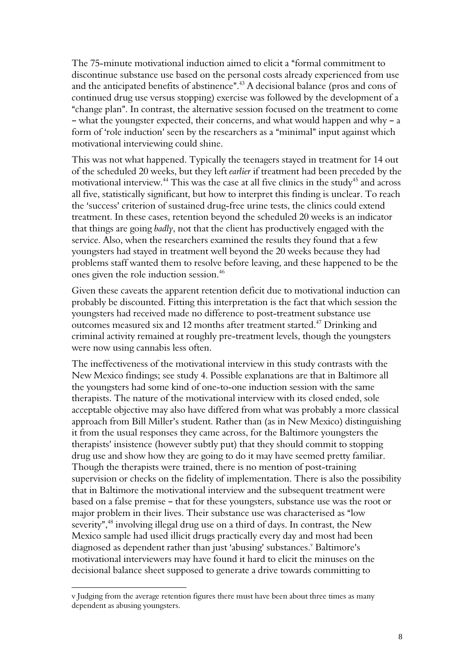The 75-minute motivational induction aimed to elicit a "formal commitment to discontinue substance use based on the personal costs already experienced from use and the anticipated benefits of abstinence". $^{43}$  A decisional balance (pros and cons of continued drug use versus stopping) exercise was followed by the development of a "change plan". In contrast, the alternative session focused on the treatment to come - what the youngster expected, their concerns, and what would happen and why  $-a$ form of 'role induction' seen by the researchers as a "minimal" input against which motivational interviewing could shine.

This was not what happened. Typically the teenagers stayed in treatment for 14 out of the scheduled 20 weeks, but they left earlier if treatment had been preceded by the motivational interview.<sup>44</sup> This was the case at all five clinics in the study<sup>45</sup> and across all five, statistically significant, but how to interpret this finding is unclear. To reach the 'success' criterion of sustained drug-free urine tests, the clinics could extend treatment. In these cases, retention beyond the scheduled 20 weeks is an indicator that things are going badly, not that the client has productively engaged with the service. Also, when the researchers examined the results they found that a few youngsters had stayed in treatment well beyond the 20 weeks because they had problems staff wanted them to resolve before leaving, and these happened to be the ones given the role induction session.<sup>46</sup>

Given these caveats the apparent retention deficit due to motivational induction can probably be discounted. Fitting this interpretation is the fact that which session the youngsters had received made no difference to post-treatment substance use outcomes measured six and 12 months after treatment started.<sup>47</sup> Drinking and criminal activity remained at roughly pre-treatment levels, though the youngsters were now using cannabis less often.

The ineffectiveness of the motivational interview in this study contrasts with the New Mexico findings; see study 4. Possible explanations are that in Baltimore all the youngsters had some kind of one-to-one induction session with the same therapists. The nature of the motivational interview with its closed ended, sole acceptable objective may also have differed from what was probably a more classical approach from Bill Miller's student. Rather than (as in New Mexico) distinguishing it from the usual responses they came across, for the Baltimore youngsters the therapists' insistence (however subtly put) that they should commit to stopping drug use and show how they are going to do it may have seemed pretty familiar. Though the therapists were trained, there is no mention of post-training supervision or checks on the fidelity of implementation. There is also the possibility that in Baltimore the motivational interview and the subsequent treatment were based on a false premise - that for these youngsters, substance use was the root or major problem in their lives. Their substance use was characterised as "low severity",<sup>48</sup> involving illegal drug use on a third of days. In contrast, the New Mexico sample had used illicit drugs practically every day and most had been diagnosed as dependent rather than just 'abusing' substances.<sup>v</sup> Baltimore's motivational interviewers may have found it hard to elicit the minuses on the decisional balance sheet supposed to generate a drive towards committing to

v Judging from the average retention figures there must have been about three times as many dependent as abusing youngsters.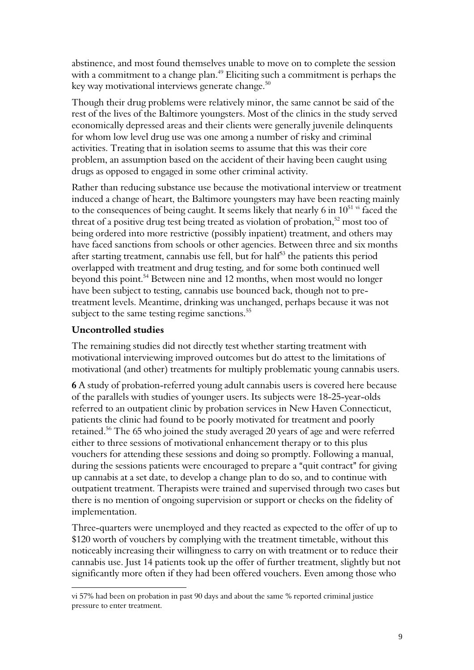abstinence, and most found themselves unable to move on to complete the session with a commitment to a change plan.<sup>49</sup> Eliciting such a commitment is perhaps the key way motivational interviews generate change. $^{\scriptsize 50}$ 

Though their drug problems were relatively minor, the same cannot be said of the rest of the lives of the Baltimore youngsters. Most of the clinics in the study served economically depressed areas and their clients were generally juvenile delinquents for whom low level drug use was one among a number of risky and criminal activities. Treating that in isolation seems to assume that this was their core problem, an assumption based on the accident of their having been caught using drugs as opposed to engaged in some other criminal activity.

Rather than reducing substance use because the motivational interview or treatment induced a change of heart, the Baltimore youngsters may have been reacting mainly to the consequences of being caught. It seems likely that nearly 6 in  $10^{51}$  vi faced the threat of a positive drug test being treated as violation of probation, $52 \text{ most too of}$ being ordered into more restrictive (possibly inpatient) treatment, and others may have faced sanctions from schools or other agencies. Between three and six months after starting treatment, cannabis use fell, but for half<sup>53</sup> the patients this period overlapped with treatment and drug testing, and for some both continued well beyond this point.<sup>54</sup> Between nine and 12 months, when most would no longer have been subject to testing, cannabis use bounced back, though not to pretreatment levels. Meantime, drinking was unchanged, perhaps because it was not subject to the same testing regime sanctions.<sup>55</sup>

#### Uncontrolled studies

 $\overline{a}$ 

The remaining studies did not directly test whether starting treatment with motivational interviewing improved outcomes but do attest to the limitations of motivational (and other) treatments for multiply problematic young cannabis users.

6 A study of probation-referred young adult cannabis users is covered here because of the parallels with studies of younger users. Its subjects were 18-25-year-olds referred to an outpatient clinic by probation services in New Haven Connecticut, patients the clinic had found to be poorly motivated for treatment and poorly retained.<sup>56</sup> The 65 who joined the study averaged 20 years of age and were referred either to three sessions of motivational enhancement therapy or to this plus vouchers for attending these sessions and doing so promptly. Following a manual, during the sessions patients were encouraged to prepare a "quit contract" for giving up cannabis at a set date, to develop a change plan to do so, and to continue with outpatient treatment. Therapists were trained and supervised through two cases but there is no mention of ongoing supervision or support or checks on the fidelity of implementation.

Three-quarters were unemployed and they reacted as expected to the offer of up to \$120 worth of vouchers by complying with the treatment timetable, without this noticeably increasing their willingness to carry on with treatment or to reduce their cannabis use. Just 14 patients took up the offer of further treatment, slightly but not significantly more often if they had been offered vouchers. Even among those who

vi 57% had been on probation in past 90 days and about the same % reported criminal justice pressure to enter treatment.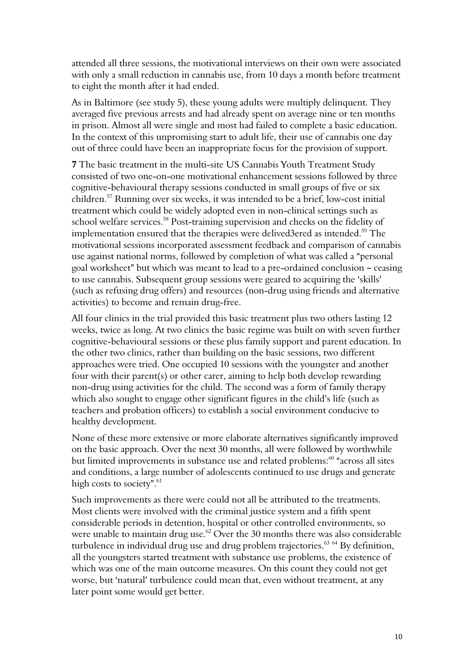attended all three sessions, the motivational interviews on their own were associated with only a small reduction in cannabis use, from 10 days a month before treatment to eight the month after it had ended.

As in Baltimore (see study 5), these young adults were multiply delinquent. They averaged five previous arrests and had already spent on average nine or ten months in prison. Almost all were single and most had failed to complete a basic education. In the context of this unpromising start to adult life, their use of cannabis one day out of three could have been an inappropriate focus for the provision of support.

7 The basic treatment in the multi-site US Cannabis Youth Treatment Study consisted of two one-on-one motivational enhancement sessions followed by three cognitive-behavioural therapy sessions conducted in small groups of five or six children.<sup>57</sup> Running over six weeks, it was intended to be a brief, low-cost initial treatment which could be widely adopted even in non-clinical settings such as school welfare services.<sup>58</sup> Post-training supervision and checks on the fidelity of implementation ensured that the therapies were delived3ered as intended.<sup>59</sup> The motivational sessions incorporated assessment feedback and comparison of cannabis use against national norms, followed by completion of what was called a "personal goal worksheet" but which was meant to lead to a pre-ordained conclusion - ceasing to use cannabis. Subsequent group sessions were geared to acquiring the 'skills' (such as refusing drug offers) and resources (non-drug using friends and alternative activities) to become and remain drug-free.

All four clinics in the trial provided this basic treatment plus two others lasting 12 weeks, twice as long. At two clinics the basic regime was built on with seven further cognitive-behavioural sessions or these plus family support and parent education. In the other two clinics, rather than building on the basic sessions, two different approaches were tried. One occupied 10 sessions with the youngster and another four with their parent(s) or other carer, aiming to help both develop rewarding non-drug using activities for the child. The second was a form of family therapy which also sought to engage other significant figures in the child's life (such as teachers and probation officers) to establish a social environment conducive to healthy development.

None of these more extensive or more elaborate alternatives significantly improved on the basic approach. Over the next 30 months, all were followed by worthwhile but limited improvements in substance use and related problems:<sup>60</sup> "across all sites and conditions, a large number of adolescents continued to use drugs and generate high costs to society".<sup>61</sup>

Such improvements as there were could not all be attributed to the treatments. Most clients were involved with the criminal justice system and a fifth spent considerable periods in detention, hospital or other controlled environments, so were unable to maintain drug use. $62$  Over the 30 months there was also considerable turbulence in individual drug use and drug problem trajectories.<sup>63 64</sup> By definition, all the youngsters started treatment with substance use problems, the existence of which was one of the main outcome measures. On this count they could not get worse, but 'natural' turbulence could mean that, even without treatment, at any later point some would get better.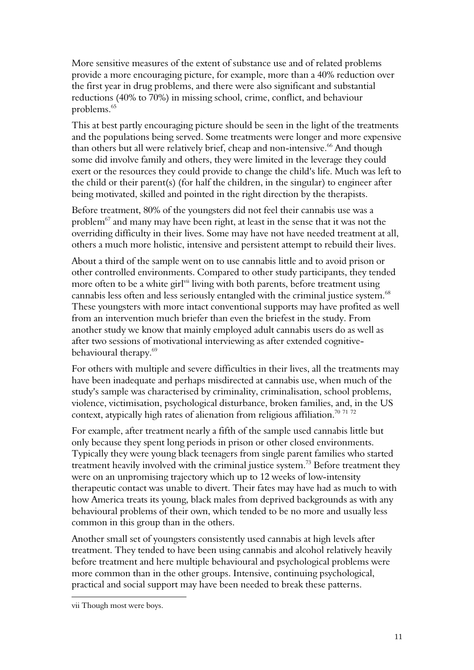More sensitive measures of the extent of substance use and of related problems provide a more encouraging picture, for example, more than a 40% reduction over the first year in drug problems, and there were also significant and substantial reductions (40% to 70%) in missing school, crime, conflict, and behaviour problems.<sup>65</sup>

This at best partly encouraging picture should be seen in the light of the treatments and the populations being served. Some treatments were longer and more expensive than others but all were relatively brief, cheap and non-intensive.<sup>66</sup> And though some did involve family and others, they were limited in the leverage they could exert or the resources they could provide to change the child's life. Much was left to the child or their parent(s) (for half the children, in the singular) to engineer after being motivated, skilled and pointed in the right direction by the therapists.

Before treatment, 80% of the youngsters did not feel their cannabis use was a problem<sup>67</sup> and many may have been right, at least in the sense that it was not the overriding difficulty in their lives. Some may have not have needed treatment at all, others a much more holistic, intensive and persistent attempt to rebuild their lives.

About a third of the sample went on to use cannabis little and to avoid prison or other controlled environments. Compared to other study participants, they tended more often to be a white girl<sup>vii</sup> living with both parents, before treatment using cannabis less often and less seriously entangled with the criminal justice system.<sup>68</sup> These youngsters with more intact conventional supports may have profited as well from an intervention much briefer than even the briefest in the study. From another study we know that mainly employed adult cannabis users do as well as after two sessions of motivational interviewing as after extended cognitivebehavioural therapy.<sup>69</sup>

For others with multiple and severe difficulties in their lives, all the treatments may have been inadequate and perhaps misdirected at cannabis use, when much of the study's sample was characterised by criminality, criminalisation, school problems, violence, victimisation, psychological disturbance, broken families, and, in the US context, atypically high rates of alienation from religious affiliation.<sup>70 71 72</sup>

For example, after treatment nearly a fifth of the sample used cannabis little but only because they spent long periods in prison or other closed environments. Typically they were young black teenagers from single parent families who started treatment heavily involved with the criminal justice system.<sup>73</sup> Before treatment they were on an unpromising trajectory which up to 12 weeks of low-intensity therapeutic contact was unable to divert. Their fates may have had as much to with how America treats its young, black males from deprived backgrounds as with any behavioural problems of their own, which tended to be no more and usually less common in this group than in the others.

Another small set of youngsters consistently used cannabis at high levels after treatment. They tended to have been using cannabis and alcohol relatively heavily before treatment and here multiple behavioural and psychological problems were more common than in the other groups. Intensive, continuing psychological, practical and social support may have been needed to break these patterns.

vii Though most were boys.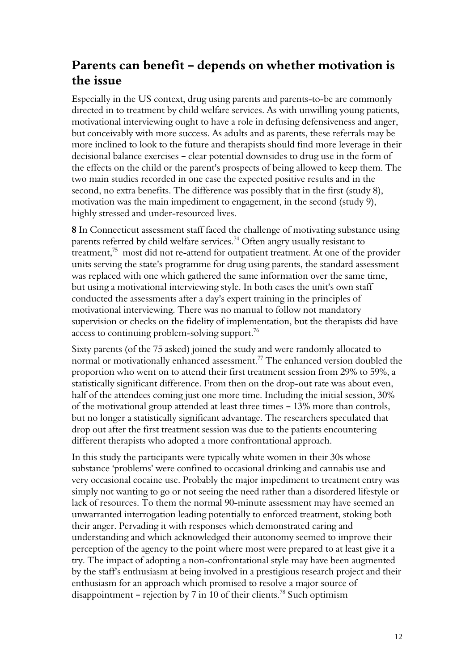## Parents can benefit - depends on whether motivation is the issue

Especially in the US context, drug using parents and parents-to-be are commonly directed in to treatment by child welfare services. As with unwilling young patients, motivational interviewing ought to have a role in defusing defensiveness and anger, but conceivably with more success. As adults and as parents, these referrals may be more inclined to look to the future and therapists should find more leverage in their decisional balance exercises – clear potential downsides to drug use in the form of the effects on the child or the parent's prospects of being allowed to keep them. The two main studies recorded in one case the expected positive results and in the second, no extra benefits. The difference was possibly that in the first (study 8), motivation was the main impediment to engagement, in the second (study 9), highly stressed and under-resourced lives.

8 In Connecticut assessment staff faced the challenge of motivating substance using parents referred by child welfare services.<sup>74</sup> Often angry usually resistant to treatment, $75$  most did not re-attend for outpatient treatment. At one of the provider units serving the state's programme for drug using parents, the standard assessment was replaced with one which gathered the same information over the same time, but using a motivational interviewing style. In both cases the unit's own staff conducted the assessments after a day's expert training in the principles of motivational interviewing. There was no manual to follow not mandatory supervision or checks on the fidelity of implementation, but the therapists did have access to continuing problem-solving support. $^{76}$ 

Sixty parents (of the 75 asked) joined the study and were randomly allocated to normal or motivationally enhanced assessment.<sup>77</sup> The enhanced version doubled the proportion who went on to attend their first treatment session from 29% to 59%, a statistically significant difference. From then on the drop-out rate was about even, half of the attendees coming just one more time. Including the initial session, 30% of the motivational group attended at least three times  $-13\%$  more than controls, but no longer a statistically significant advantage. The researchers speculated that drop out after the first treatment session was due to the patients encountering different therapists who adopted a more confrontational approach.

In this study the participants were typically white women in their 30s whose substance 'problems' were confined to occasional drinking and cannabis use and very occasional cocaine use. Probably the major impediment to treatment entry was simply not wanting to go or not seeing the need rather than a disordered lifestyle or lack of resources. To them the normal 90-minute assessment may have seemed an unwarranted interrogation leading potentially to enforced treatment, stoking both their anger. Pervading it with responses which demonstrated caring and understanding and which acknowledged their autonomy seemed to improve their perception of the agency to the point where most were prepared to at least give it a try. The impact of adopting a non-confrontational style may have been augmented by the staff's enthusiasm at being involved in a prestigious research project and their enthusiasm for an approach which promised to resolve a major source of disappointment - rejection by 7 in 10 of their clients.<sup>78</sup> Such optimism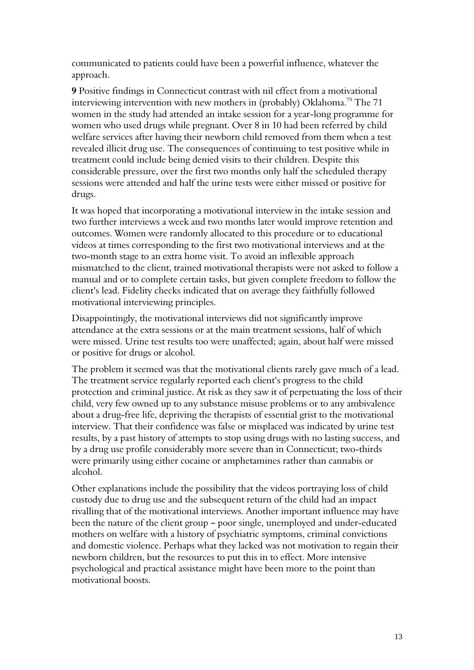communicated to patients could have been a powerful influence, whatever the approach.

9 Positive findings in Connecticut contrast with nil effect from a motivational interviewing intervention with new mothers in (probably) Oklahoma.<sup>79</sup> The 71 women in the study had attended an intake session for a year-long programme for women who used drugs while pregnant. Over 8 in 10 had been referred by child welfare services after having their newborn child removed from them when a test revealed illicit drug use. The consequences of continuing to test positive while in treatment could include being denied visits to their children. Despite this considerable pressure, over the first two months only half the scheduled therapy sessions were attended and half the urine tests were either missed or positive for drugs.

It was hoped that incorporating a motivational interview in the intake session and two further interviews a week and two months later would improve retention and outcomes. Women were randomly allocated to this procedure or to educational videos at times corresponding to the first two motivational interviews and at the two-month stage to an extra home visit. To avoid an inflexible approach mismatched to the client, trained motivational therapists were not asked to follow a manual and or to complete certain tasks, but given complete freedom to follow the client's lead. Fidelity checks indicated that on average they faithfully followed motivational interviewing principles.

Disappointingly, the motivational interviews did not significantly improve attendance at the extra sessions or at the main treatment sessions, half of which were missed. Urine test results too were unaffected; again, about half were missed or positive for drugs or alcohol.

The problem it seemed was that the motivational clients rarely gave much of a lead. The treatment service regularly reported each client's progress to the child protection and criminal justice. At risk as they saw it of perpetuating the loss of their child, very few owned up to any substance misuse problems or to any ambivalence about a drug-free life, depriving the therapists of essential grist to the motivational interview. That their confidence was false or misplaced was indicated by urine test results, by a past history of attempts to stop using drugs with no lasting success, and by a drug use profile considerably more severe than in Connecticut; two-thirds were primarily using either cocaine or amphetamines rather than cannabis or alcohol.

Other explanations include the possibility that the videos portraying loss of child custody due to drug use and the subsequent return of the child had an impact rivalling that of the motivational interviews. Another important influence may have been the nature of the client group - poor single, unemployed and under-educated mothers on welfare with a history of psychiatric symptoms, criminal convictions and domestic violence. Perhaps what they lacked was not motivation to regain their newborn children, but the resources to put this in to effect. More intensive psychological and practical assistance might have been more to the point than motivational boosts.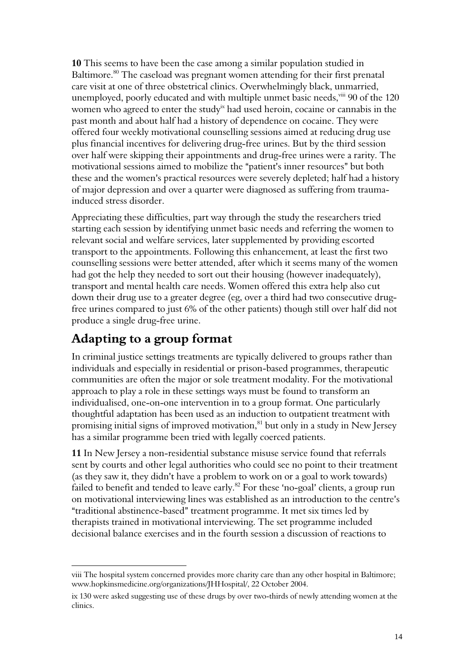10 This seems to have been the case among a similar population studied in Baltimore.<sup>80</sup> The caseload was pregnant women attending for their first prenatal care visit at one of three obstetrical clinics. Overwhelmingly black, unmarried, unemployed, poorly educated and with multiple unmet basic needs, viii 90 of the 120 women who agreed to enter the study<sup>ix</sup> had used heroin, cocaine or cannabis in the past month and about half had a history of dependence on cocaine. They were offered four weekly motivational counselling sessions aimed at reducing drug use plus financial incentives for delivering drug-free urines. But by the third session over half were skipping their appointments and drug-free urines were a rarity. The motivational sessions aimed to mobilize the "patient's inner resources" but both these and the women's practical resources were severely depleted; half had a history of major depression and over a quarter were diagnosed as suffering from traumainduced stress disorder.

Appreciating these difficulties, part way through the study the researchers tried starting each session by identifying unmet basic needs and referring the women to relevant social and welfare services, later supplemented by providing escorted transport to the appointments. Following this enhancement, at least the first two counselling sessions were better attended, after which it seems many of the women had got the help they needed to sort out their housing (however inadequately), transport and mental health care needs. Women offered this extra help also cut down their drug use to a greater degree (eg, over a third had two consecutive drugfree urines compared to just 6% of the other patients) though still over half did not produce a single drug-free urine.

### Adapting to a group format

 $\overline{a}$ 

In criminal justice settings treatments are typically delivered to groups rather than individuals and especially in residential or prison-based programmes, therapeutic communities are often the major or sole treatment modality. For the motivational approach to play a role in these settings ways must be found to transform an individualised, one-on-one intervention in to a group format. One particularly thoughtful adaptation has been used as an induction to outpatient treatment with promising initial signs of improved motivation, ${}^{81}$  but only in a study in New Jersey has a similar programme been tried with legally coerced patients.

11 In New Jersey a non-residential substance misuse service found that referrals sent by courts and other legal authorities who could see no point to their treatment (as they saw it, they didn't have a problem to work on or a goal to work towards) failed to benefit and tended to leave early. $82$  For these 'no-goal' clients, a group run on motivational interviewing lines was established as an introduction to the centre's "traditional abstinence-based" treatment programme. It met six times led by therapists trained in motivational interviewing. The set programme included decisional balance exercises and in the fourth session a discussion of reactions to

viii The hospital system concerned provides more charity care than any other hospital in Baltimore; www.hopkinsmedicine.org/organizations/JHHospital/, 22 October 2004.

ix 130 were asked suggesting use of these drugs by over two-thirds of newly attending women at the clinics.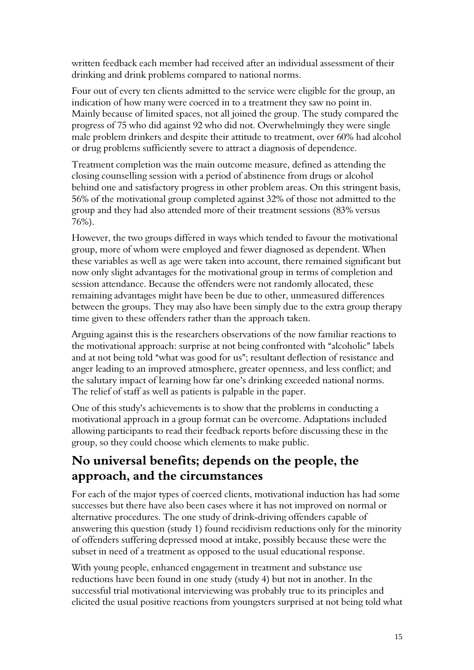written feedback each member had received after an individual assessment of their drinking and drink problems compared to national norms.

Four out of every ten clients admitted to the service were eligible for the group, an indication of how many were coerced in to a treatment they saw no point in. Mainly because of limited spaces, not all joined the group. The study compared the progress of 75 who did against 92 who did not. Overwhelmingly they were single male problem drinkers and despite their attitude to treatment, over 60% had alcohol or drug problems sufficiently severe to attract a diagnosis of dependence.

Treatment completion was the main outcome measure, defined as attending the closing counselling session with a period of abstinence from drugs or alcohol behind one and satisfactory progress in other problem areas. On this stringent basis, 56% of the motivational group completed against 32% of those not admitted to the group and they had also attended more of their treatment sessions (83% versus 76%).

However, the two groups differed in ways which tended to favour the motivational group, more of whom were employed and fewer diagnosed as dependent. When these variables as well as age were taken into account, there remained significant but now only slight advantages for the motivational group in terms of completion and session attendance. Because the offenders were not randomly allocated, these remaining advantages might have been be due to other, unmeasured differences between the groups. They may also have been simply due to the extra group therapy time given to these offenders rather than the approach taken.

Arguing against this is the researchers observations of the now familiar reactions to the motivational approach: surprise at not being confronted with "alcoholic" labels and at not being told "what was good for us"; resultant deflection of resistance and anger leading to an improved atmosphere, greater openness, and less conflict; and the salutary impact of learning how far one's drinking exceeded national norms. The relief of staff as well as patients is palpable in the paper.

One of this study's achievements is to show that the problems in conducting a motivational approach in a group format can be overcome. Adaptations included allowing participants to read their feedback reports before discussing these in the group, so they could choose which elements to make public.

### No universal benefits; depends on the people, the approach, and the circumstances

For each of the major types of coerced clients, motivational induction has had some successes but there have also been cases where it has not improved on normal or alternative procedures. The one study of drink-driving offenders capable of answering this question (study 1) found recidivism reductions only for the minority of offenders suffering depressed mood at intake, possibly because these were the subset in need of a treatment as opposed to the usual educational response.

With young people, enhanced engagement in treatment and substance use reductions have been found in one study (study 4) but not in another. In the successful trial motivational interviewing was probably true to its principles and elicited the usual positive reactions from youngsters surprised at not being told what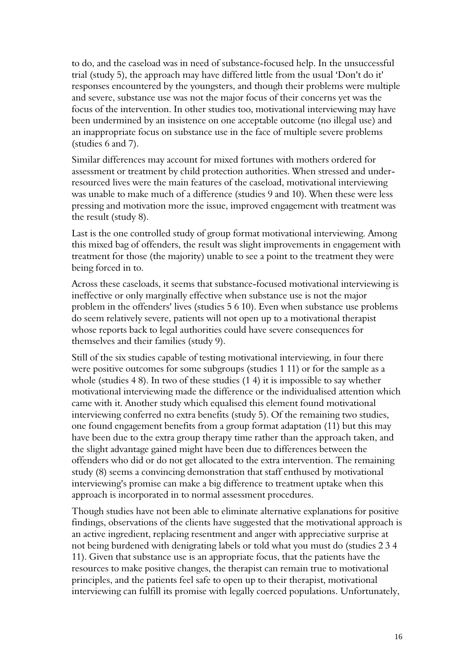to do, and the caseload was in need of substance-focused help. In the unsuccessful trial (study 5), the approach may have differed little from the usual 'Don't do it' responses encountered by the youngsters, and though their problems were multiple and severe, substance use was not the major focus of their concerns yet was the focus of the intervention. In other studies too, motivational interviewing may have been undermined by an insistence on one acceptable outcome (no illegal use) and an inappropriate focus on substance use in the face of multiple severe problems (studies 6 and 7).

Similar differences may account for mixed fortunes with mothers ordered for assessment or treatment by child protection authorities. When stressed and underresourced lives were the main features of the caseload, motivational interviewing was unable to make much of a difference (studies 9 and 10). When these were less pressing and motivation more the issue, improved engagement with treatment was the result (study 8).

Last is the one controlled study of group format motivational interviewing. Among this mixed bag of offenders, the result was slight improvements in engagement with treatment for those (the majority) unable to see a point to the treatment they were being forced in to.

Across these caseloads, it seems that substance-focused motivational interviewing is ineffective or only marginally effective when substance use is not the major problem in the offenders' lives (studies 5 6 10). Even when substance use problems do seem relatively severe, patients will not open up to a motivational therapist whose reports back to legal authorities could have severe consequences for themselves and their families (study 9).

Still of the six studies capable of testing motivational interviewing, in four there were positive outcomes for some subgroups (studies 1 11) or for the sample as a whole (studies 4 8). In two of these studies (1 4) it is impossible to say whether motivational interviewing made the difference or the individualised attention which came with it. Another study which equalised this element found motivational interviewing conferred no extra benefits (study 5). Of the remaining two studies, one found engagement benefits from a group format adaptation (11) but this may have been due to the extra group therapy time rather than the approach taken, and the slight advantage gained might have been due to differences between the offenders who did or do not get allocated to the extra intervention. The remaining study (8) seems a convincing demonstration that staff enthused by motivational interviewing's promise can make a big difference to treatment uptake when this approach is incorporated in to normal assessment procedures.

Though studies have not been able to eliminate alternative explanations for positive findings, observations of the clients have suggested that the motivational approach is an active ingredient, replacing resentment and anger with appreciative surprise at not being burdened with denigrating labels or told what you must do (studies 2 3 4 11). Given that substance use is an appropriate focus, that the patients have the resources to make positive changes, the therapist can remain true to motivational principles, and the patients feel safe to open up to their therapist, motivational interviewing can fulfill its promise with legally coerced populations. Unfortunately,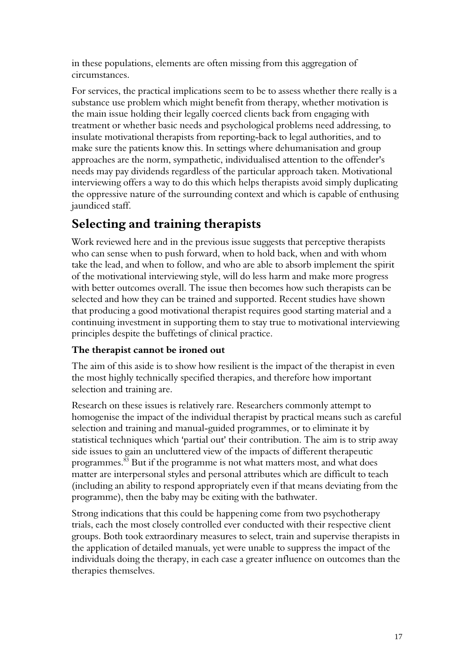in these populations, elements are often missing from this aggregation of circumstances.

For services, the practical implications seem to be to assess whether there really is a substance use problem which might benefit from therapy, whether motivation is the main issue holding their legally coerced clients back from engaging with treatment or whether basic needs and psychological problems need addressing, to insulate motivational therapists from reporting-back to legal authorities, and to make sure the patients know this. In settings where dehumanisation and group approaches are the norm, sympathetic, individualised attention to the offender's needs may pay dividends regardless of the particular approach taken. Motivational interviewing offers a way to do this which helps therapists avoid simply duplicating the oppressive nature of the surrounding context and which is capable of enthusing jaundiced staff.

## Selecting and training therapists

Work reviewed here and in the previous issue suggests that perceptive therapists who can sense when to push forward, when to hold back, when and with whom take the lead, and when to follow, and who are able to absorb implement the spirit of the motivational interviewing style, will do less harm and make more progress with better outcomes overall. The issue then becomes how such therapists can be selected and how they can be trained and supported. Recent studies have shown that producing a good motivational therapist requires good starting material and a continuing investment in supporting them to stay true to motivational interviewing principles despite the buffetings of clinical practice.

#### The therapist cannot be ironed out

The aim of this aside is to show how resilient is the impact of the therapist in even the most highly technically specified therapies, and therefore how important selection and training are.

Research on these issues is relatively rare. Researchers commonly attempt to homogenise the impact of the individual therapist by practical means such as careful selection and training and manual-guided programmes, or to eliminate it by statistical techniques which 'partial out' their contribution. The aim is to strip away side issues to gain an uncluttered view of the impacts of different therapeutic programmes.<sup>83</sup> But if the programme is not what matters most, and what does matter are interpersonal styles and personal attributes which are difficult to teach (including an ability to respond appropriately even if that means deviating from the programme), then the baby may be exiting with the bathwater.

Strong indications that this could be happening come from two psychotherapy trials, each the most closely controlled ever conducted with their respective client groups. Both took extraordinary measures to select, train and supervise therapists in the application of detailed manuals, yet were unable to suppress the impact of the individuals doing the therapy, in each case a greater influence on outcomes than the therapies themselves.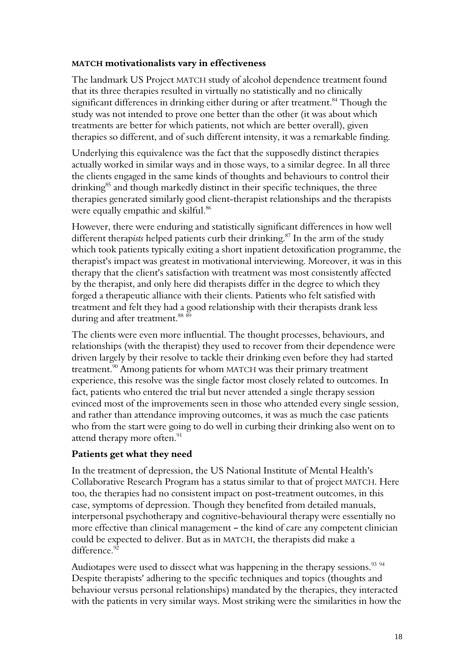#### MATCH motivationalists vary in effectiveness

The landmark US Project MATCH study of alcohol dependence treatment found that its three therapies resulted in virtually no statistically and no clinically significant differences in drinking either during or after treatment.<sup>84</sup> Though the study was not intended to prove one better than the other (it was about which treatments are better for which patients, not which are better overall), given therapies so different, and of such different intensity, it was a remarkable finding.

Underlying this equivalence was the fact that the supposedly distinct therapies actually worked in similar ways and in those ways, to a similar degree. In all three the clients engaged in the same kinds of thoughts and behaviours to control their  $drinking<sup>85</sup>$  and though markedly distinct in their specific techniques, the three therapies generated similarly good client-therapist relationships and the therapists were equally empathic and skilful.<sup>86</sup>

However, there were enduring and statistically significant differences in how well different therapists helped patients curb their drinking.<sup>87</sup> In the arm of the study which took patients typically exiting a short inpatient detoxification programme, the therapist's impact was greatest in motivational interviewing. Moreover, it was in this therapy that the client's satisfaction with treatment was most consistently affected by the therapist, and only here did therapists differ in the degree to which they forged a therapeutic alliance with their clients. Patients who felt satisfied with treatment and felt they had a good relationship with their therapists drank less during and after treatment.<sup>88 89</sup>

The clients were even more influential. The thought processes, behaviours, and relationships (with the therapist) they used to recover from their dependence were driven largely by their resolve to tackle their drinking even before they had started treatment.<sup>90</sup> Among patients for whom MATCH was their primary treatment experience, this resolve was the single factor most closely related to outcomes. In fact, patients who entered the trial but never attended a single therapy session evinced most of the improvements seen in those who attended every single session, and rather than attendance improving outcomes, it was as much the case patients who from the start were going to do well in curbing their drinking also went on to attend therapy more often. $^{91}$ 

#### Patients get what they need

In the treatment of depression, the US National Institute of Mental Health's Collaborative Research Program has a status similar to that of project MATCH. Here too, the therapies had no consistent impact on post-treatment outcomes, in this case, symptoms of depression. Though they benefited from detailed manuals, interpersonal psychotherapy and cognitive-behavioural therapy were essentially no more effective than clinical management – the kind of care any competent clinician could be expected to deliver. But as in MATCH, the therapists did make a difference.<sup>92</sup>

Audiotapes were used to dissect what was happening in the therapy sessions.<sup>93 94</sup> Despite therapists' adhering to the specific techniques and topics (thoughts and behaviour versus personal relationships) mandated by the therapies, they interacted with the patients in very similar ways. Most striking were the similarities in how the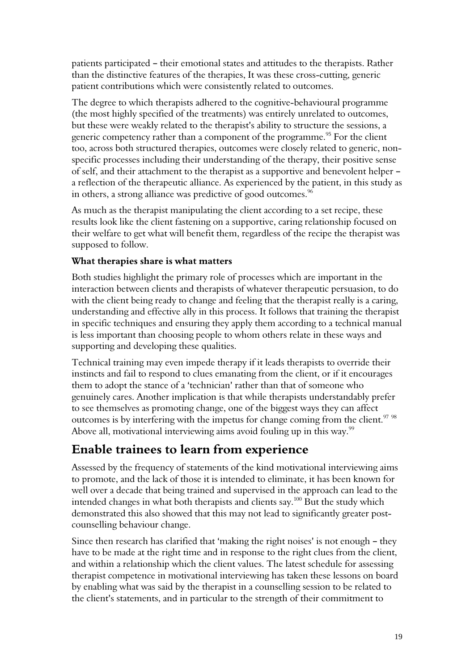patients participated – their emotional states and attitudes to the therapists. Rather than the distinctive features of the therapies, It was these cross-cutting, generic patient contributions which were consistently related to outcomes.

The degree to which therapists adhered to the cognitive-behavioural programme (the most highly specified of the treatments) was entirely unrelated to outcomes, but these were weakly related to the therapist's ability to structure the sessions, a generic competency rather than a component of the programme.<sup>95</sup> For the client too, across both structured therapies, outcomes were closely related to generic, nonspecific processes including their understanding of the therapy, their positive sense of self, and their attachment to the therapist as a supportive and benevolent helper a reflection of the therapeutic alliance. As experienced by the patient, in this study as in others, a strong alliance was predictive of good outcomes. $\mathrm{^{96}}$ 

As much as the therapist manipulating the client according to a set recipe, these results look like the client fastening on a supportive, caring relationship focused on their welfare to get what will benefit them, regardless of the recipe the therapist was supposed to follow.

#### What therapies share is what matters

Both studies highlight the primary role of processes which are important in the interaction between clients and therapists of whatever therapeutic persuasion, to do with the client being ready to change and feeling that the therapist really is a caring, understanding and effective ally in this process. It follows that training the therapist in specific techniques and ensuring they apply them according to a technical manual is less important than choosing people to whom others relate in these ways and supporting and developing these qualities.

Technical training may even impede therapy if it leads therapists to override their instincts and fail to respond to clues emanating from the client, or if it encourages them to adopt the stance of a 'technician' rather than that of someone who genuinely cares. Another implication is that while therapists understandably prefer to see themselves as promoting change, one of the biggest ways they can affect outcomes is by interfering with the impetus for change coming from the client.<sup>97</sup> 98 Above all, motivational interviewing aims avoid fouling up in this way.<sup>99</sup>

### Enable trainees to learn from experience

Assessed by the frequency of statements of the kind motivational interviewing aims to promote, and the lack of those it is intended to eliminate, it has been known for well over a decade that being trained and supervised in the approach can lead to the intended changes in what both therapists and clients say.<sup>100</sup> But the study which demonstrated this also showed that this may not lead to significantly greater postcounselling behaviour change.

Since then research has clarified that 'making the right noises' is not enough  $-$  they have to be made at the right time and in response to the right clues from the client, and within a relationship which the client values. The latest schedule for assessing therapist competence in motivational interviewing has taken these lessons on board by enabling what was said by the therapist in a counselling session to be related to the client's statements, and in particular to the strength of their commitment to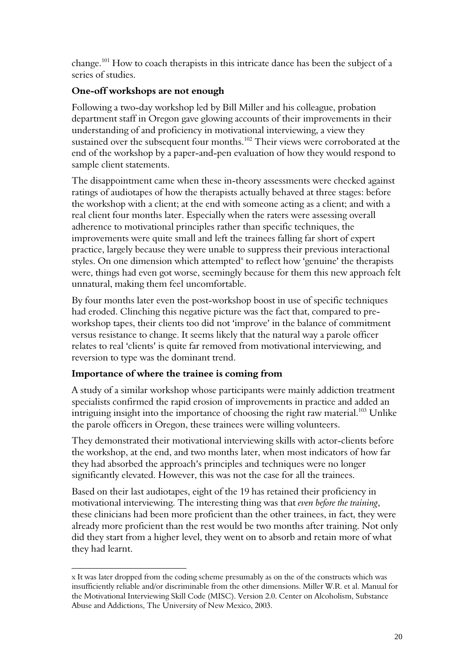change.<sup>101</sup> How to coach therapists in this intricate dance has been the subject of a series of studies.

#### One-off workshops are not enough

Following a two-day workshop led by Bill Miller and his colleague, probation department staff in Oregon gave glowing accounts of their improvements in their understanding of and proficiency in motivational interviewing, a view they sustained over the subsequent four months.<sup>102</sup> Their views were corroborated at the end of the workshop by a paper-and-pen evaluation of how they would respond to sample client statements.

The disappointment came when these in-theory assessments were checked against ratings of audiotapes of how the therapists actually behaved at three stages: before the workshop with a client; at the end with someone acting as a client; and with a real client four months later. Especially when the raters were assessing overall adherence to motivational principles rather than specific techniques, the improvements were quite small and left the trainees falling far short of expert practice, largely because they were unable to suppress their previous interactional styles. On one dimension which attempted<sup>x</sup> to reflect how 'genuine' the therapists were, things had even got worse, seemingly because for them this new approach felt unnatural, making them feel uncomfortable.

By four months later even the post-workshop boost in use of specific techniques had eroded. Clinching this negative picture was the fact that, compared to preworkshop tapes, their clients too did not 'improve' in the balance of commitment versus resistance to change. It seems likely that the natural way a parole officer relates to real 'clients' is quite far removed from motivational interviewing, and reversion to type was the dominant trend.

#### Importance of where the trainee is coming from

 $\overline{a}$ 

A study of a similar workshop whose participants were mainly addiction treatment specialists confirmed the rapid erosion of improvements in practice and added an intriguing insight into the importance of choosing the right raw material.<sup>103</sup> Unlike the parole officers in Oregon, these trainees were willing volunteers.

They demonstrated their motivational interviewing skills with actor-clients before the workshop, at the end, and two months later, when most indicators of how far they had absorbed the approach's principles and techniques were no longer significantly elevated. However, this was not the case for all the trainees.

Based on their last audiotapes, eight of the 19 has retained their proficiency in motivational interviewing. The interesting thing was that even before the training, these clinicians had been more proficient than the other trainees, in fact, they were already more proficient than the rest would be two months after training. Not only did they start from a higher level, they went on to absorb and retain more of what they had learnt.

x It was later dropped from the coding scheme presumably as on the of the constructs which was insufficiently reliable and/or discriminable from the other dimensions. Miller W.R. et al. Manual for the Motivational Interviewing Skill Code (MISC). Version 2.0. Center on Alcoholism, Substance Abuse and Addictions, The University of New Mexico, 2003.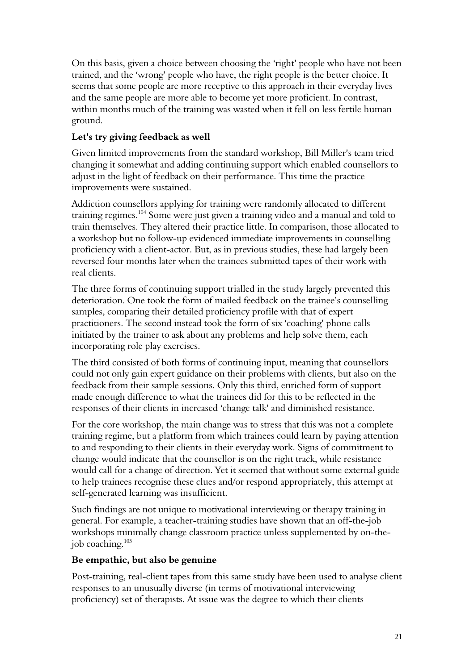On this basis, given a choice between choosing the 'right' people who have not been trained, and the 'wrong' people who have, the right people is the better choice. It seems that some people are more receptive to this approach in their everyday lives and the same people are more able to become yet more proficient. In contrast, within months much of the training was wasted when it fell on less fertile human ground.

#### Let's try giving feedback as well

Given limited improvements from the standard workshop, Bill Miller's team tried changing it somewhat and adding continuing support which enabled counsellors to adjust in the light of feedback on their performance. This time the practice improvements were sustained.

Addiction counsellors applying for training were randomly allocated to different training regimes.<sup>104</sup> Some were just given a training video and a manual and told to train themselves. They altered their practice little. In comparison, those allocated to a workshop but no follow-up evidenced immediate improvements in counselling proficiency with a client-actor. But, as in previous studies, these had largely been reversed four months later when the trainees submitted tapes of their work with real clients.

The three forms of continuing support trialled in the study largely prevented this deterioration. One took the form of mailed feedback on the trainee's counselling samples, comparing their detailed proficiency profile with that of expert practitioners. The second instead took the form of six 'coaching' phone calls initiated by the trainer to ask about any problems and help solve them, each incorporating role play exercises.

The third consisted of both forms of continuing input, meaning that counsellors could not only gain expert guidance on their problems with clients, but also on the feedback from their sample sessions. Only this third, enriched form of support made enough difference to what the trainees did for this to be reflected in the responses of their clients in increased 'change talk' and diminished resistance.

For the core workshop, the main change was to stress that this was not a complete training regime, but a platform from which trainees could learn by paying attention to and responding to their clients in their everyday work. Signs of commitment to change would indicate that the counsellor is on the right track, while resistance would call for a change of direction. Yet it seemed that without some external guide to help trainees recognise these clues and/or respond appropriately, this attempt at self-generated learning was insufficient.

Such findings are not unique to motivational interviewing or therapy training in general. For example, a teacher-training studies have shown that an off-the-job workshops minimally change classroom practice unless supplemented by on-thejob coaching.<sup>105</sup>

#### Be empathic, but also be genuine

Post-training, real-client tapes from this same study have been used to analyse client responses to an unusually diverse (in terms of motivational interviewing proficiency) set of therapists. At issue was the degree to which their clients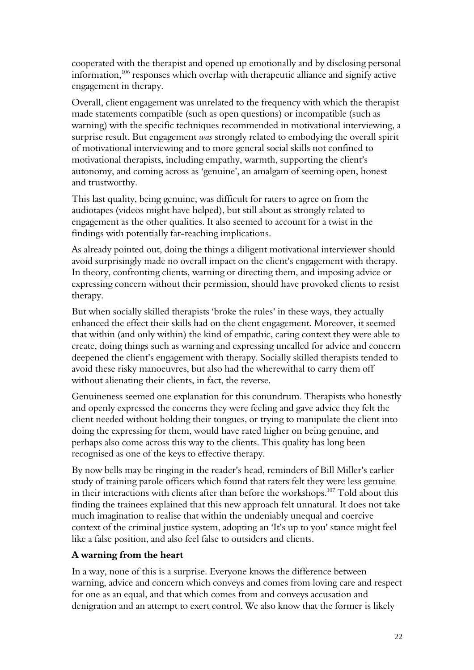cooperated with the therapist and opened up emotionally and by disclosing personal information,<sup>106</sup> responses which overlap with therapeutic alliance and signify active engagement in therapy.

Overall, client engagement was unrelated to the frequency with which the therapist made statements compatible (such as open questions) or incompatible (such as warning) with the specific techniques recommended in motivational interviewing, a surprise result. But engagement was strongly related to embodying the overall spirit of motivational interviewing and to more general social skills not confined to motivational therapists, including empathy, warmth, supporting the client's autonomy, and coming across as 'genuine', an amalgam of seeming open, honest and trustworthy.

This last quality, being genuine, was difficult for raters to agree on from the audiotapes (videos might have helped), but still about as strongly related to engagement as the other qualities. It also seemed to account for a twist in the findings with potentially far-reaching implications.

As already pointed out, doing the things a diligent motivational interviewer should avoid surprisingly made no overall impact on the client's engagement with therapy. In theory, confronting clients, warning or directing them, and imposing advice or expressing concern without their permission, should have provoked clients to resist therapy.

But when socially skilled therapists 'broke the rules' in these ways, they actually enhanced the effect their skills had on the client engagement. Moreover, it seemed that within (and only within) the kind of empathic, caring context they were able to create, doing things such as warning and expressing uncalled for advice and concern deepened the client's engagement with therapy. Socially skilled therapists tended to avoid these risky manoeuvres, but also had the wherewithal to carry them off without alienating their clients, in fact, the reverse.

Genuineness seemed one explanation for this conundrum. Therapists who honestly and openly expressed the concerns they were feeling and gave advice they felt the client needed without holding their tongues, or trying to manipulate the client into doing the expressing for them, would have rated higher on being genuine, and perhaps also come across this way to the clients. This quality has long been recognised as one of the keys to effective therapy.

By now bells may be ringing in the reader's head, reminders of Bill Miller's earlier study of training parole officers which found that raters felt they were less genuine in their interactions with clients after than before the workshops.<sup>107</sup> Told about this finding the trainees explained that this new approach felt unnatural. It does not take much imagination to realise that within the undeniably unequal and coercive context of the criminal justice system, adopting an 'It's up to you' stance might feel like a false position, and also feel false to outsiders and clients.

#### A warning from the heart

In a way, none of this is a surprise. Everyone knows the difference between warning, advice and concern which conveys and comes from loving care and respect for one as an equal, and that which comes from and conveys accusation and denigration and an attempt to exert control. We also know that the former is likely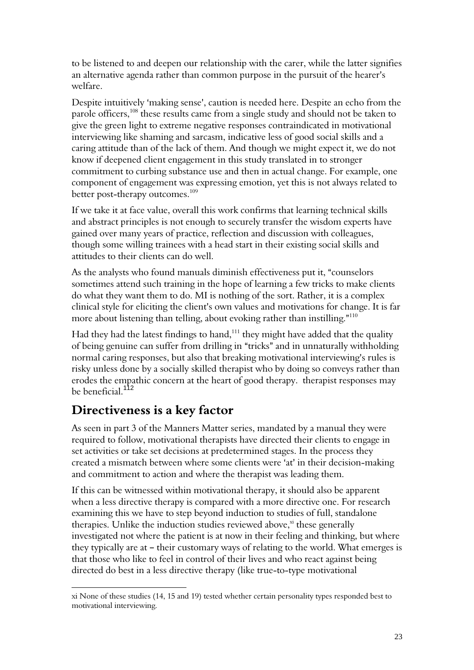to be listened to and deepen our relationship with the carer, while the latter signifies an alternative agenda rather than common purpose in the pursuit of the hearer's welfare.

Despite intuitively 'making sense', caution is needed here. Despite an echo from the parole officers,<sup>108</sup> these results came from a single study and should not be taken to give the green light to extreme negative responses contraindicated in motivational interviewing like shaming and sarcasm, indicative less of good social skills and a caring attitude than of the lack of them. And though we might expect it, we do not know if deepened client engagement in this study translated in to stronger commitment to curbing substance use and then in actual change. For example, one component of engagement was expressing emotion, yet this is not always related to better post-therapy outcomes.<sup>109</sup>

If we take it at face value, overall this work confirms that learning technical skills and abstract principles is not enough to securely transfer the wisdom experts have gained over many years of practice, reflection and discussion with colleagues, though some willing trainees with a head start in their existing social skills and attitudes to their clients can do well.

As the analysts who found manuals diminish effectiveness put it, "counselors sometimes attend such training in the hope of learning a few tricks to make clients do what they want them to do. MI is nothing of the sort. Rather, it is a complex clinical style for eliciting the client's own values and motivations for change. It is far more about listening than telling, about evoking rather than instilling." $^{110}$ 

Had they had the latest findings to hand, $111$  they might have added that the quality of being genuine can suffer from drilling in "tricks" and in unnaturally withholding normal caring responses, but also that breaking motivational interviewing's rules is risky unless done by a socially skilled therapist who by doing so conveys rather than erodes the empathic concern at the heart of good therapy. therapist responses may be beneficial.<sup>112</sup>

## Directiveness is a key factor

 $\overline{a}$ 

As seen in part 3 of the Manners Matter series, mandated by a manual they were required to follow, motivational therapists have directed their clients to engage in set activities or take set decisions at predetermined stages. In the process they created a mismatch between where some clients were 'at' in their decision-making and commitment to action and where the therapist was leading them.

If this can be witnessed within motivational therapy, it should also be apparent when a less directive therapy is compared with a more directive one. For research examining this we have to step beyond induction to studies of full, standalone therapies. Unlike the induction studies reviewed above, $x$  these generally investigated not where the patient is at now in their feeling and thinking, but where they typically are at  $-$  their customary ways of relating to the world. What emerges is that those who like to feel in control of their lives and who react against being directed do best in a less directive therapy (like true-to-type motivational

xi None of these studies (14, 15 and 19) tested whether certain personality types responded best to motivational interviewing.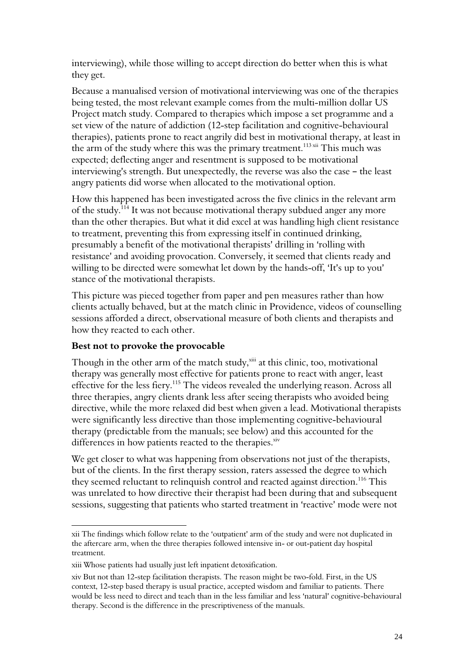interviewing), while those willing to accept direction do better when this is what they get.

Because a manualised version of motivational interviewing was one of the therapies being tested, the most relevant example comes from the multi-million dollar US Project match study. Compared to therapies which impose a set programme and a set view of the nature of addiction (12-step facilitation and cognitive-behavioural therapies), patients prone to react angrily did best in motivational therapy, at least in the arm of the study where this was the primary treatment.<sup>113 xii</sup> This much was expected; deflecting anger and resentment is supposed to be motivational interviewing's strength. But unexpectedly, the reverse was also the case – the least angry patients did worse when allocated to the motivational option.

How this happened has been investigated across the five clinics in the relevant arm of the study.<sup>114</sup> It was not because motivational therapy subdued anger any more than the other therapies. But what it did excel at was handling high client resistance to treatment, preventing this from expressing itself in continued drinking, presumably a benefit of the motivational therapists' drilling in 'rolling with resistance' and avoiding provocation. Conversely, it seemed that clients ready and willing to be directed were somewhat let down by the hands-off, 'It's up to you' stance of the motivational therapists.

This picture was pieced together from paper and pen measures rather than how clients actually behaved, but at the match clinic in Providence, videos of counselling sessions afforded a direct, observational measure of both clients and therapists and how they reacted to each other.

#### Best not to provoke the provocable

Though in the other arm of the match study,<sup>xiii</sup> at this clinic, too, motivational therapy was generally most effective for patients prone to react with anger, least effective for the less fiery.<sup>115</sup> The videos revealed the underlying reason. Across all three therapies, angry clients drank less after seeing therapists who avoided being directive, while the more relaxed did best when given a lead. Motivational therapists were significantly less directive than those implementing cognitive-behavioural therapy (predictable from the manuals; see below) and this accounted for the differences in how patients reacted to the therapies.<sup>xiv</sup>

We get closer to what was happening from observations not just of the therapists, but of the clients. In the first therapy session, raters assessed the degree to which they seemed reluctant to relinquish control and reacted against direction.<sup>116</sup> This was unrelated to how directive their therapist had been during that and subsequent sessions, suggesting that patients who started treatment in 'reactive' mode were not

 $\overline{a}$ xii The findings which follow relate to the 'outpatient' arm of the study and were not duplicated in the aftercare arm, when the three therapies followed intensive in- or out-patient day hospital treatment.

xiii Whose patients had usually just left inpatient detoxification.

xiv But not than 12-step facilitation therapists. The reason might be two-fold. First, in the US context, 12-step based therapy is usual practice, accepted wisdom and familiar to patients. There would be less need to direct and teach than in the less familiar and less 'natural' cognitive-behavioural therapy. Second is the difference in the prescriptiveness of the manuals.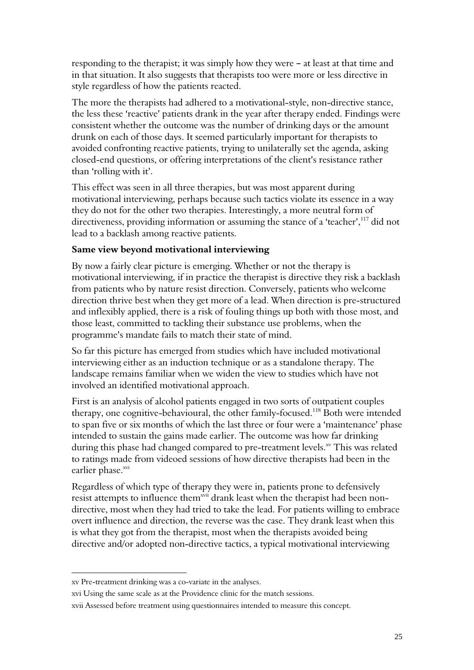responding to the therapist; it was simply how they were  $-$  at least at that time and in that situation. It also suggests that therapists too were more or less directive in style regardless of how the patients reacted.

The more the therapists had adhered to a motivational-style, non-directive stance, the less these 'reactive' patients drank in the year after therapy ended. Findings were consistent whether the outcome was the number of drinking days or the amount drunk on each of those days. It seemed particularly important for therapists to avoided confronting reactive patients, trying to unilaterally set the agenda, asking closed-end questions, or offering interpretations of the client's resistance rather than 'rolling with it'.

This effect was seen in all three therapies, but was most apparent during motivational interviewing, perhaps because such tactics violate its essence in a way they do not for the other two therapies. Interestingly, a more neutral form of directiveness, providing information or assuming the stance of a 'teacher',<sup>117</sup> did not lead to a backlash among reactive patients.

#### Same view beyond motivational interviewing

By now a fairly clear picture is emerging. Whether or not the therapy is motivational interviewing, if in practice the therapist is directive they risk a backlash from patients who by nature resist direction. Conversely, patients who welcome direction thrive best when they get more of a lead. When direction is pre-structured and inflexibly applied, there is a risk of fouling things up both with those most, and those least, committed to tackling their substance use problems, when the programme's mandate fails to match their state of mind.

So far this picture has emerged from studies which have included motivational interviewing either as an induction technique or as a standalone therapy. The landscape remains familiar when we widen the view to studies which have not involved an identified motivational approach.

First is an analysis of alcohol patients engaged in two sorts of outpatient couples therapy, one cognitive-behavioural, the other family-focused.<sup>118</sup> Both were intended to span five or six months of which the last three or four were a 'maintenance' phase intended to sustain the gains made earlier. The outcome was how far drinking during this phase had changed compared to pre-treatment levels.<sup>xv</sup> This was related to ratings made from videoed sessions of how directive therapists had been in the earlier phase.<sup>xvi</sup>

Regardless of which type of therapy they were in, patients prone to defensively resist attempts to influence them<sup>xvii</sup> drank least when the therapist had been nondirective, most when they had tried to take the lead. For patients willing to embrace overt influence and direction, the reverse was the case. They drank least when this is what they got from the therapist, most when the therapists avoided being directive and/or adopted non-directive tactics, a typical motivational interviewing

xv Pre-treatment drinking was a co-variate in the analyses.

xvi Using the same scale as at the Providence clinic for the match sessions.

xvii Assessed before treatment using questionnaires intended to measure this concept.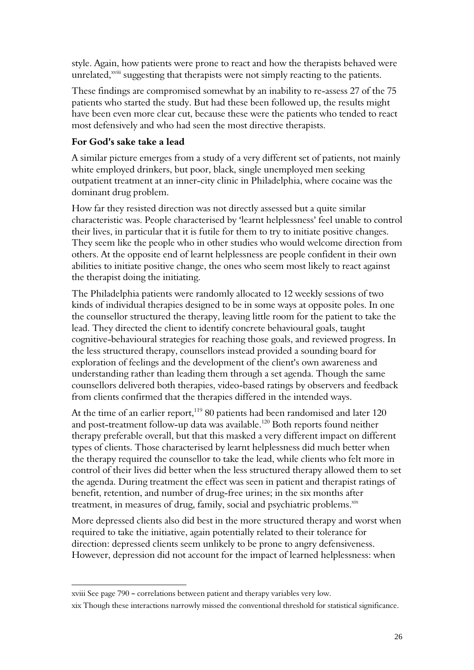style. Again, how patients were prone to react and how the therapists behaved were unrelated,<sup>xviii</sup> suggesting that therapists were not simply reacting to the patients.

These findings are compromised somewhat by an inability to re-assess 27 of the 75 patients who started the study. But had these been followed up, the results might have been even more clear cut, because these were the patients who tended to react most defensively and who had seen the most directive therapists.

#### For God's sake take a lead

A similar picture emerges from a study of a very different set of patients, not mainly white employed drinkers, but poor, black, single unemployed men seeking outpatient treatment at an inner-city clinic in Philadelphia, where cocaine was the dominant drug problem.

How far they resisted direction was not directly assessed but a quite similar characteristic was. People characterised by 'learnt helplessness' feel unable to control their lives, in particular that it is futile for them to try to initiate positive changes. They seem like the people who in other studies who would welcome direction from others. At the opposite end of learnt helplessness are people confident in their own abilities to initiate positive change, the ones who seem most likely to react against the therapist doing the initiating.

The Philadelphia patients were randomly allocated to 12 weekly sessions of two kinds of individual therapies designed to be in some ways at opposite poles. In one the counsellor structured the therapy, leaving little room for the patient to take the lead. They directed the client to identify concrete behavioural goals, taught cognitive-behavioural strategies for reaching those goals, and reviewed progress. In the less structured therapy, counsellors instead provided a sounding board for exploration of feelings and the development of the client's own awareness and understanding rather than leading them through a set agenda. Though the same counsellors delivered both therapies, video-based ratings by observers and feedback from clients confirmed that the therapies differed in the intended ways.

At the time of an earlier report,  $11980$  patients had been randomised and later 120 and post-treatment follow-up data was available.<sup>120</sup> Both reports found neither therapy preferable overall, but that this masked a very different impact on different types of clients. Those characterised by learnt helplessness did much better when the therapy required the counsellor to take the lead, while clients who felt more in control of their lives did better when the less structured therapy allowed them to set the agenda. During treatment the effect was seen in patient and therapist ratings of benefit, retention, and number of drug-free urines; in the six months after treatment, in measures of drug, family, social and psychiatric problems.<sup>xix</sup>

More depressed clients also did best in the more structured therapy and worst when required to take the initiative, again potentially related to their tolerance for direction: depressed clients seem unlikely to be prone to angry defensiveness. However, depression did not account for the impact of learned helplessness: when

xviii See page 790 - correlations between patient and therapy variables very low.

xix Though these interactions narrowly missed the conventional threshold for statistical significance.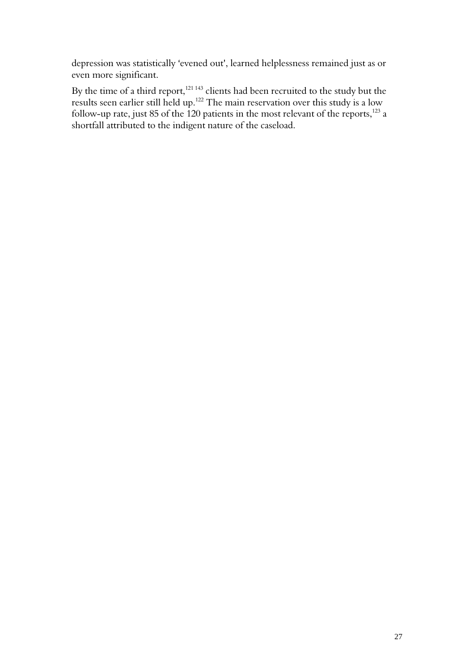depression was statistically 'evened out', learned helplessness remained just as or even more significant.

By the time of a third report, $121\,143}$  clients had been recruited to the study but the results seen earlier still held up. $122$  The main reservation over this study is a low follow-up rate, just 85 of the 120 patients in the most relevant of the reports, $^{123}$  a shortfall attributed to the indigent nature of the caseload.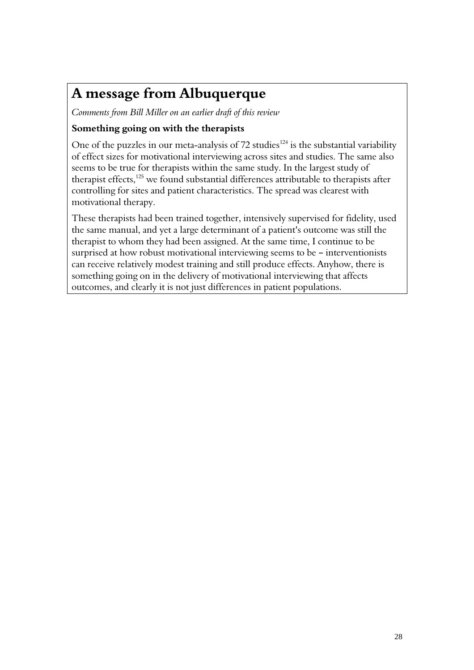# A message from Albuquerque

Comments from Bill Miller on an earlier draft of this review

#### Something going on with the therapists

One of the puzzles in our meta-analysis of 72 studies<sup>124</sup> is the substantial variability of effect sizes for motivational interviewing across sites and studies. The same also seems to be true for therapists within the same study. In the largest study of therapist effects,<sup>125</sup> we found substantial differences attributable to therapists after controlling for sites and patient characteristics. The spread was clearest with motivational therapy.

These therapists had been trained together, intensively supervised for fidelity, used the same manual, and yet a large determinant of a patient's outcome was still the therapist to whom they had been assigned. At the same time, I continue to be surprised at how robust motivational interviewing seems to be  $-$  interventionists can receive relatively modest training and still produce effects. Anyhow, there is something going on in the delivery of motivational interviewing that affects outcomes, and clearly it is not just differences in patient populations.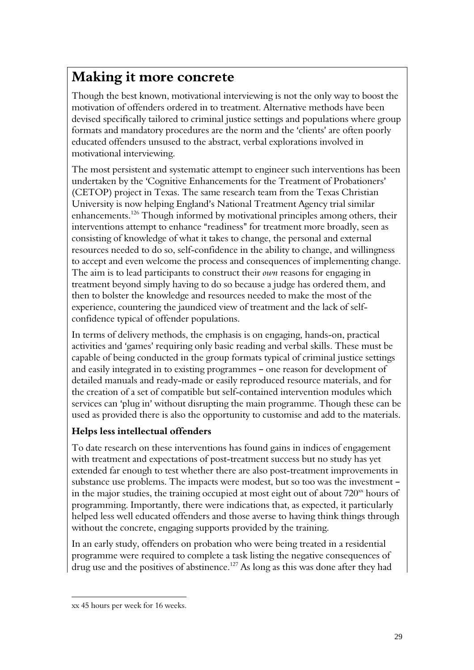# Making it more concrete

Though the best known, motivational interviewing is not the only way to boost the motivation of offenders ordered in to treatment. Alternative methods have been devised specifically tailored to criminal justice settings and populations where group formats and mandatory procedures are the norm and the 'clients' are often poorly educated offenders unsused to the abstract, verbal explorations involved in motivational interviewing.

The most persistent and systematic attempt to engineer such interventions has been undertaken by the 'Cognitive Enhancements for the Treatment of Probationers' (CETOP) project in Texas. The same research team from the Texas Christian University is now helping England's National Treatment Agency trial similar enhancements.<sup>126</sup> Though informed by motivational principles among others, their interventions attempt to enhance "readiness" for treatment more broadly, seen as consisting of knowledge of what it takes to change, the personal and external resources needed to do so, self-confidence in the ability to change, and willingness to accept and even welcome the process and consequences of implementing change. The aim is to lead participants to construct their own reasons for engaging in treatment beyond simply having to do so because a judge has ordered them, and then to bolster the knowledge and resources needed to make the most of the experience, countering the jaundiced view of treatment and the lack of selfconfidence typical of offender populations.

In terms of delivery methods, the emphasis is on engaging, hands-on, practical activities and 'games' requiring only basic reading and verbal skills. These must be capable of being conducted in the group formats typical of criminal justice settings and easily integrated in to existing programmes - one reason for development of detailed manuals and ready-made or easily reproduced resource materials, and for the creation of a set of compatible but self-contained intervention modules which services can 'plug in' without disrupting the main programme. Though these can be used as provided there is also the opportunity to customise and add to the materials.

#### Helps less intellectual offenders

To date research on these interventions has found gains in indices of engagement with treatment and expectations of post-treatment success but no study has yet extended far enough to test whether there are also post-treatment improvements in substance use problems. The impacts were modest, but so too was the investment in the major studies, the training occupied at most eight out of about  $720<sup>xx</sup>$  hours of programming. Importantly, there were indications that, as expected, it particularly helped less well educated offenders and those averse to having think things through without the concrete, engaging supports provided by the training.

In an early study, offenders on probation who were being treated in a residential programme were required to complete a task listing the negative consequences of drug use and the positives of abstinence.<sup>127</sup> As long as this was done after they had

xx 45 hours per week for 16 weeks.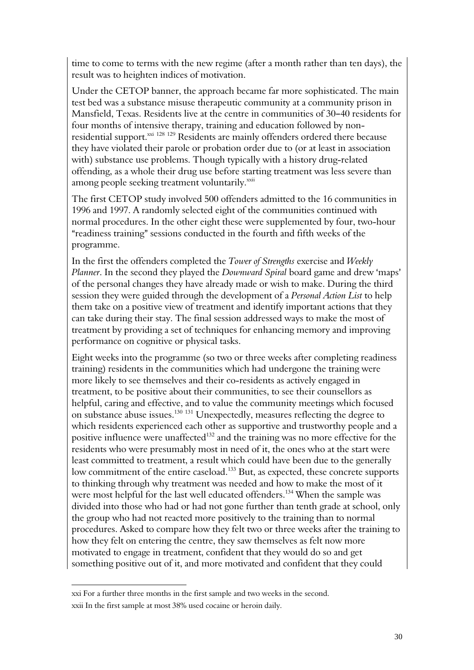time to come to terms with the new regime (after a month rather than ten days), the result was to heighten indices of motivation.

Under the CETOP banner, the approach became far more sophisticated. The main test bed was a substance misuse therapeutic community at a community prison in Mansfield, Texas. Residents live at the centre in communities of 30–40 residents for four months of intensive therapy, training and education followed by nonresidential support. $\frac{128}{129}$  Residents are mainly offenders ordered there because they have violated their parole or probation order due to (or at least in association with) substance use problems. Though typically with a history drug-related offending, as a whole their drug use before starting treatment was less severe than among people seeking treatment voluntarily. $^{\rm xxii}$ 

The first CETOP study involved 500 offenders admitted to the 16 communities in 1996 and 1997. A randomly selected eight of the communities continued with normal procedures. In the other eight these were supplemented by four, two-hour "readiness training" sessions conducted in the fourth and fifth weeks of the programme.

In the first the offenders completed the Tower of Strengths exercise and Weekly Planner. In the second they played the *Downward Spiral* board game and drew 'maps' of the personal changes they have already made or wish to make. During the third session they were guided through the development of a Personal Action List to help them take on a positive view of treatment and identify important actions that they can take during their stay. The final session addressed ways to make the most of treatment by providing a set of techniques for enhancing memory and improving performance on cognitive or physical tasks.

Eight weeks into the programme (so two or three weeks after completing readiness training) residents in the communities which had undergone the training were more likely to see themselves and their co-residents as actively engaged in treatment, to be positive about their communities, to see their counsellors as helpful, caring and effective, and to value the community meetings which focused on substance abuse issues.<sup>130</sup> <sup>131</sup> Unexpectedly, measures reflecting the degree to which residents experienced each other as supportive and trustworthy people and a positive influence were unaffected<sup>132</sup> and the training was no more effective for the residents who were presumably most in need of it, the ones who at the start were least committed to treatment, a result which could have been due to the generally low commitment of the entire caseload.<sup>133</sup> But, as expected, these concrete supports to thinking through why treatment was needed and how to make the most of it were most helpful for the last well educated offenders.<sup>134</sup> When the sample was divided into those who had or had not gone further than tenth grade at school, only the group who had not reacted more positively to the training than to normal procedures. Asked to compare how they felt two or three weeks after the training to how they felt on entering the centre, they saw themselves as felt now more motivated to engage in treatment, confident that they would do so and get something positive out of it, and more motivated and confident that they could

xxi For a further three months in the first sample and two weeks in the second. xxii In the first sample at most 38% used cocaine or heroin daily.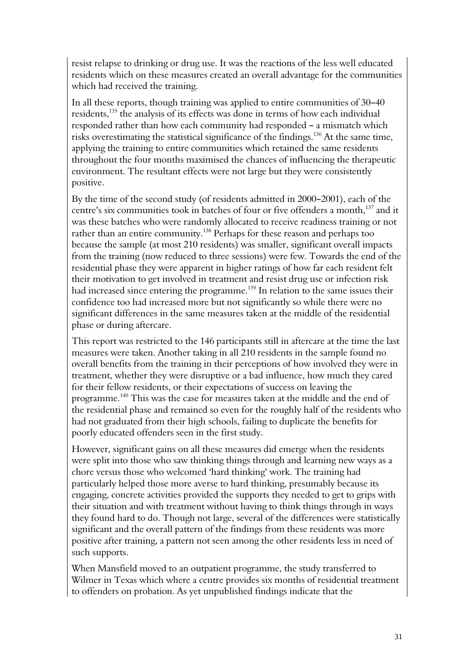resist relapse to drinking or drug use. It was the reactions of the less well educated residents which on these measures created an overall advantage for the communities which had received the training.

In all these reports, though training was applied to entire communities of 30-40 residents,<sup>135</sup> the analysis of its effects was done in terms of how each individual responded rather than how each community had responded - a mismatch which risks overestimating the statistical significance of the findings.<sup>136</sup> At the same time, applying the training to entire communities which retained the same residents throughout the four months maximised the chances of influencing the therapeutic environment. The resultant effects were not large but they were consistently positive.

By the time of the second study (of residents admitted in 2000-2001), each of the centre's six communities took in batches of four or five offenders a month,<sup>137</sup> and it was these batches who were randomly allocated to receive readiness training or not rather than an entire community.<sup>138</sup> Perhaps for these reason and perhaps too because the sample (at most 210 residents) was smaller, significant overall impacts from the training (now reduced to three sessions) were few. Towards the end of the residential phase they were apparent in higher ratings of how far each resident felt their motivation to get involved in treatment and resist drug use or infection risk had increased since entering the programme.<sup>139</sup> In relation to the same issues their confidence too had increased more but not significantly so while there were no significant differences in the same measures taken at the middle of the residential phase or during aftercare.

This report was restricted to the 146 participants still in aftercare at the time the last measures were taken. Another taking in all 210 residents in the sample found no overall benefits from the training in their perceptions of how involved they were in treatment, whether they were disruptive or a bad influence, how much they cared for their fellow residents, or their expectations of success on leaving the programme.<sup>140</sup> This was the case for measures taken at the middle and the end of the residential phase and remained so even for the roughly half of the residents who had not graduated from their high schools, failing to duplicate the benefits for poorly educated offenders seen in the first study.

However, significant gains on all these measures did emerge when the residents were split into those who saw thinking things through and learning new ways as a chore versus those who welcomed 'hard thinking' work. The training had particularly helped those more averse to hard thinking, presumably because its engaging, concrete activities provided the supports they needed to get to grips with their situation and with treatment without having to think things through in ways they found hard to do. Though not large, several of the differences were statistically significant and the overall pattern of the findings from these residents was more positive after training, a pattern not seen among the other residents less in need of such supports.

When Mansfield moved to an outpatient programme, the study transferred to Wilmer in Texas which where a centre provides six months of residential treatment to offenders on probation. As yet unpublished findings indicate that the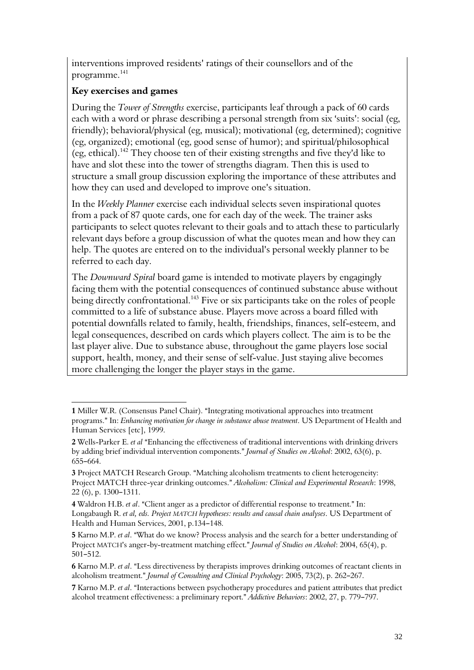interventions improved residents' ratings of their counsellors and of the programme.<sup>141</sup>

#### Key exercises and games

 $\overline{a}$ 

During the Tower of Strengths exercise, participants leaf through a pack of 60 cards each with a word or phrase describing a personal strength from six 'suits': social (eg, friendly); behavioral/physical (eg, musical); motivational (eg, determined); cognitive (eg, organized); emotional (eg, good sense of humor); and spiritual/philosophical (eg, ethical).<sup>142</sup> They choose ten of their existing strengths and five they'd like to have and slot these into the tower of strengths diagram. Then this is used to structure a small group discussion exploring the importance of these attributes and how they can used and developed to improve one's situation.

In the Weekly Planner exercise each individual selects seven inspirational quotes from a pack of 87 quote cards, one for each day of the week. The trainer asks participants to select quotes relevant to their goals and to attach these to particularly relevant days before a group discussion of what the quotes mean and how they can help. The quotes are entered on to the individual's personal weekly planner to be referred to each day.

The Downward Spiral board game is intended to motivate players by engagingly facing them with the potential consequences of continued substance abuse without being directly confrontational.<sup>143</sup> Five or six participants take on the roles of people committed to a life of substance abuse. Players move across a board filled with potential downfalls related to family, health, friendships, finances, self-esteem, and legal consequences, described on cards which players collect. The aim is to be the last player alive. Due to substance abuse, throughout the game players lose social support, health, money, and their sense of self-value. Just staying alive becomes more challenging the longer the player stays in the game.

<sup>1</sup> Miller W.R. (Consensus Panel Chair). "Integrating motivational approaches into treatment programs." In: Enhancing motivation for change in substance abuse treatment. US Department of Health and Human Services [etc], 1999.

<sup>2</sup> Wells-Parker E. et al "Enhancing the effectiveness of traditional interventions with drinking drivers by adding brief individual intervention components." Journal of Studies on Alcohol: 2002, 63(6), p.  $655 - 664.$ 

<sup>3</sup> Project MATCH Research Group. "Matching alcoholism treatments to client heterogeneity: Project MATCH three-year drinking outcomes." Alcoholism: Clinical and Experimental Research: 1998, 22 (6), p. 1300-1311.

<sup>4</sup> Waldron H.B. et al. "Client anger as a predictor of differential response to treatment." In: Longabaugh R. et al, eds. Project MATCH hypotheses: results and causal chain analyses. US Department of Health and Human Services, 2001, p.134-148.

<sup>5</sup> Karno M.P. et al. "What do we know? Process analysis and the search for a better understanding of Project MATCH's anger-by-treatment matching effect." Journal of Studies on Alcohol: 2004, 65(4), p. 501-512.

<sup>6</sup> Karno M.P. et al. "Less directiveness by therapists improves drinking outcomes of reactant clients in alcoholism treatment." Journal of Consulting and Clinical Psychology: 2005, 73(2), p. 262-267.

<sup>7</sup> Karno M.P. et al. "Interactions between psychotherapy procedures and patient attributes that predict alcohol treatment effectiveness: a preliminary report." Addictive Behaviors: 2002, 27, p. 779-797.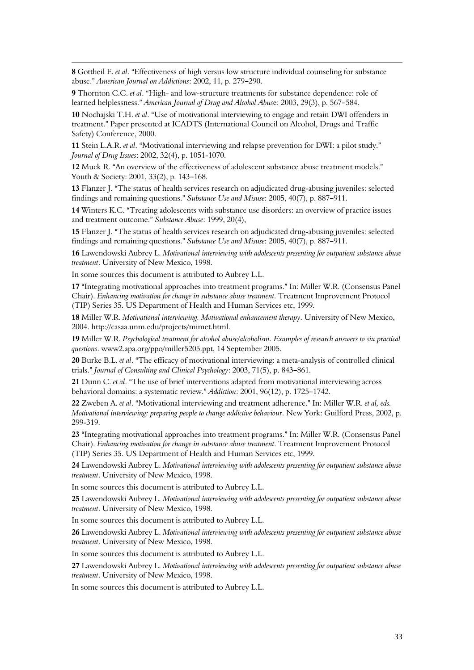8 Gottheil E. et al. "Effectiveness of high versus low structure individual counseling for substance abuse." American Journal on Addictions: 2002, 11, p. 279-290.

9 Thornton C.C. et al. "High- and low-structure treatments for substance dependence: role of learned helplessness." American Journal of Drug and Alcohol Abuse: 2003, 29(3), p. 567–584.

10 Nochajski T.H. et al. "Use of motivational interviewing to engage and retain DWI offenders in treatment." Paper presented at ICADTS (International Council on Alcohol, Drugs and Traffic Safety) Conference, 2000.

11 Stein L.A.R. et al. "Motivational interviewing and relapse prevention for DWI: a pilot study." Journal of Drug Issues: 2002, 32(4), p. 1051-1070.

12 Muck R. "An overview of the effectiveness of adolescent substance abuse treatment models." Youth & Society: 2001, 33(2), p. 143-168.

13 Flanzer J. "The status of health services research on adjudicated drug-abusing juveniles: selected findings and remaining questions." Substance Use and Misuse:  $2005$ ,  $40(7)$ , p. 887-911.

14 Winters K.C. "Treating adolescents with substance use disorders: an overview of practice issues and treatment outcome." Substance Abuse: 1999, 20(4),

15 Flanzer I. "The status of health services research on adjudicated drug-abusing juveniles: selected findings and remaining questions." Substance Use and Misuse:  $2005, 40(7)$ , p. 887–911.

16 Lawendowski Aubrey L. Motivational interviewing with adolescents presenting for outpatient substance abuse treatment. University of New Mexico, 1998.

In some sources this document is attributed to Aubrey L.L.

 $\overline{a}$ 

17 "Integrating motivational approaches into treatment programs." In: Miller W.R. (Consensus Panel Chair). Enhancing motivation for change in substance abuse treatment. Treatment Improvement Protocol (TIP) Series 35. US Department of Health and Human Services etc, 1999.

18 Miller W.R. Motivational interviewing. Motivational enhancement therapy. University of New Mexico, 2004. http://casaa.unm.edu/projects/mimet.html.

19 Miller W.R. Psychological treatment for alcohol abuse/alcoholism. Examples of research answers to six practical questions. www2.apa.org/ppo/miller5205.ppt, 14 September 2005.

20 Burke B.L. et al. "The efficacy of motivational interviewing: a meta-analysis of controlled clinical trials." Journal of Consulting and Clinical Psychology: 2003, 71(5), p. 843-861.

21 Dunn C. et al. "The use of brief interventions adapted from motivational interviewing across behavioral domains: a systematic review." Addiction: 2001, 96(12), p. 1725-1742.

22 Zweben A. et al. "Motivational interviewing and treatment adherence." In: Miller W.R. et al, eds. Motivational interviewing: preparing people to change addictive behaviour. New York: Guilford Press, 2002, p. 299-319.

23 "Integrating motivational approaches into treatment programs." In: Miller W.R. (Consensus Panel Chair). Enhancing motivation for change in substance abuse treatment. Treatment Improvement Protocol (TIP) Series 35. US Department of Health and Human Services etc, 1999.

24 Lawendowski Aubrey L. Motivational interviewing with adolescents presenting for outpatient substance abuse treatment. University of New Mexico, 1998.

In some sources this document is attributed to Aubrey L.L.

25 Lawendowski Aubrey L. Motivational interviewing with adolescents presenting for outpatient substance abuse treatment. University of New Mexico, 1998.

In some sources this document is attributed to Aubrey L.L.

26 Lawendowski Aubrey L. Motivational interviewing with adolescents presenting for outpatient substance abuse treatment. University of New Mexico, 1998.

In some sources this document is attributed to Aubrey L.L.

27 Lawendowski Aubrey L. Motivational interviewing with adolescents presenting for outpatient substance abuse treatment. University of New Mexico, 1998.

In some sources this document is attributed to Aubrey L.L.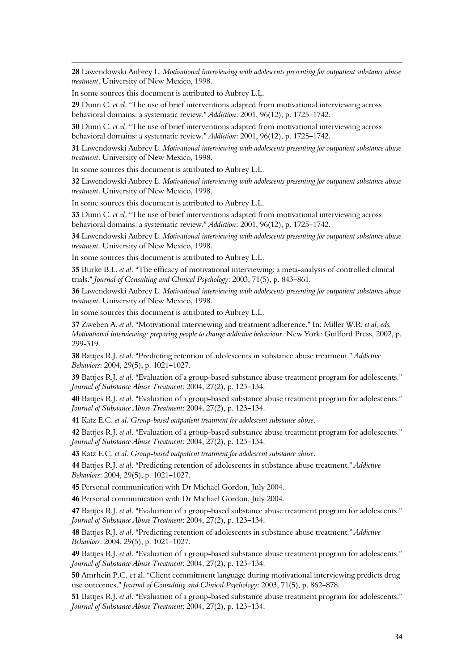28 Lawendowski Aubrey L. Motivational interviewing with adolescents presenting for outpatient substance abuse treatment. University of New Mexico, 1998.

In some sources this document is attributed to Aubrey L.L.

 $\overline{a}$ 

29 Dunn C. et al. "The use of brief interventions adapted from motivational interviewing across behavioral domains: a systematic review." Addiction: 2001, 96(12), p. 1725-1742.

30 Dunn C. et al. "The use of brief interventions adapted from motivational interviewing across behavioral domains: a systematic review." Addiction: 2001, 96(12), p. 1725–1742.

31 Lawendowski Aubrey L. Motivational interviewing with adolescents presenting for outpatient substance abuse treatment. University of New Mexico, 1998.

In some sources this document is attributed to Aubrey L.L.

32 Lawendowski Aubrey L. Motivational interviewing with adolescents presenting for outpatient substance abuse treatment. University of New Mexico, 1998.

In some sources this document is attributed to Aubrey L.L.

33 Dunn C. et al. "The use of brief interventions adapted from motivational interviewing across behavioral domains: a systematic review." Addiction: 2001, 96(12), p. 1725-1742.

34 Lawendowski Aubrey L. Motivational interviewing with adolescents presenting for outpatient substance abuse treatment. University of New Mexico, 1998.

In some sources this document is attributed to Aubrey L.L.

35 Burke B.L. et al. "The efficacy of motivational interviewing: a meta-analysis of controlled clinical trials." Journal of Consulting and Clinical Psychology:  $2003$ ,  $71(5)$ , p. 843-861.

36 Lawendowski Aubrey L. Motivational interviewing with adolescents presenting for outpatient substance abuse treatment. University of New Mexico, 1998.

In some sources this document is attributed to Aubrey L.L.

37 Zweben A. et al. "Motivational interviewing and treatment adherence." In: Miller W.R. et al, eds. Motivational interviewing: preparing people to change addictive behaviour. New York: Guilford Press, 2002, p. 299-319.

38 Battjes R.J. et al. "Predicting retention of adolescents in substance abuse treatment." Addictive Behaviors: 2004, 29(5), p. 1021-1027.

39 Battjes R.J. et al. "Evaluation of a group-based substance abuse treatment program for adolescents." Journal of Substance Abuse Treatment: 2004, 27(2), p. 123-134.

40 Battjes R.J. et al. "Evaluation of a group-based substance abuse treatment program for adolescents." Journal of Substance Abuse Treatment: 2004, 27(2), p. 123-134.

41 Katz E.C. et al. Group-based outpatient treatment for adolescent substance abuse.

42 Battjes R.J. et al. "Evaluation of a group-based substance abuse treatment program for adolescents." Journal of Substance Abuse Treatment: 2004, 27(2), p. 123-134.

43 Katz E.C. et al. Group-based outpatient treatment for adolescent substance abuse.

44 Battjes R.J. et al. "Predicting retention of adolescents in substance abuse treatment." Addictive Behaviors: 2004, 29(5), p. 1021-1027.

45 Personal communication with Dr Michael Gordon, July 2004.

46 Personal communication with Dr Michael Gordon, July 2004.

47 Battjes R.J. et al. "Evaluation of a group-based substance abuse treatment program for adolescents." Journal of Substance Abuse Treatment: 2004, 27(2), p. 123-134.

48 Battjes R.J. et al. "Predicting retention of adolescents in substance abuse treatment." Addictive Behaviors: 2004, 29(5), p. 1021-1027.

49 Battjes R.J. et al. "Evaluation of a group-based substance abuse treatment program for adolescents." Journal of Substance Abuse Treatment: 2004, 27(2), p. 123-134.

50 Amrhein P.C. et al. "Client commitment language during motivational interviewing predicts drug use outcomes." Journal of Consulting and Clinical Psychology: 2003, 71(5), p. 862-878.

51 Battjes R.J. et al. "Evaluation of a group-based substance abuse treatment program for adolescents." Journal of Substance Abuse Treatment: 2004, 27(2), p. 123-134.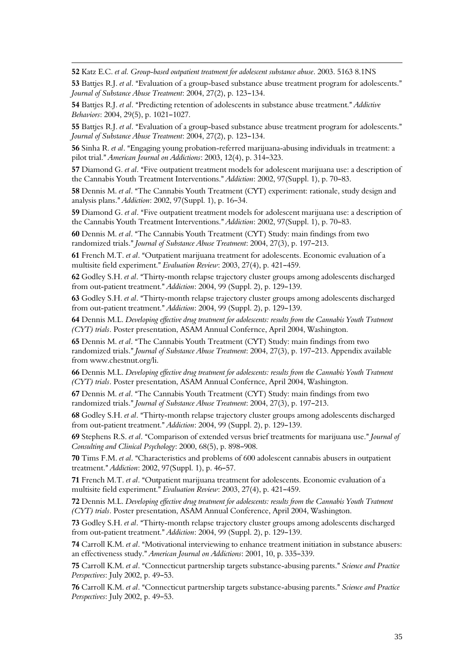52 Katz E.C. et al. Group-based outpatient treatment for adolescent substance abuse. 2003. 5163 8.1NS

 $\overline{a}$ 

53 Batties R.J. et al. "Evaluation of a group-based substance abuse treatment program for adolescents." Journal of Substance Abuse Treatment:  $2004$ ,  $27(2)$ , p.  $123-134$ .

54 Batties R.J. et al. "Predicting retention of adolescents in substance abuse treatment." Addictive Behaviors: 2004, 29(5), p. 1021-1027.

55 Battjes R.J. et al. "Evaluation of a group-based substance abuse treatment program for adolescents." Journal of Substance Abuse Treatment: 2004, 27(2), p. 123-134.

56 Sinha R. et al. "Engaging young probation-referred marijuana-abusing individuals in treatment: a pilot trial." American Journal on Addictions: 2003, 12(4), p. 314-323.

57 Diamond G. et al. "Five outpatient treatment models for adolescent marijuana use: a description of the Cannabis Youth Treatment Interventions." Addiction: 2002, 97(Suppl. 1), p. 70-83.

58 Dennis M. et al. "The Cannabis Youth Treatment (CYT) experiment: rationale, study design and analysis plans." Addiction: 2002, 97(Suppl. 1), p. 16-34.

59 Diamond G. et al. "Five outpatient treatment models for adolescent marijuana use: a description of the Cannabis Youth Treatment Interventions." Addiction: 2002, 97(Suppl. 1), p. 70-83.

60 Dennis M. et al. "The Cannabis Youth Treatment (CYT) Study: main findings from two randomized trials." Journal of Substance Abuse Treatment: 2004, 27(3), p. 197-213.

61 French M.T. et al. "Outpatient marijuana treatment for adolescents. Economic evaluation of a multisite field experiment." Evaluation Review: 2003, 27(4), p. 421-459.

62 Godley S.H. et al. "Thirty-month relapse trajectory cluster groups among adolescents discharged from out-patient treatment." Addiction: 2004, 99 (Suppl. 2), p. 129-139.

63 Godley S.H. et al. "Thirty-month relapse trajectory cluster groups among adolescents discharged from out-patient treatment." Addiction: 2004, 99 (Suppl. 2), p. 129-139.

64 Dennis M.L. Developing effective drug treatment for adolescents: results from the Cannabis Youth Tratment (CYT) trials. Poster presentation, ASAM Annual Confernce, April 2004, Washington.

65 Dennis M. et al. "The Cannabis Youth Treatment (CYT) Study: main findings from two randomized trials." Journal of Substance Abuse Treatment: 2004, 27(3), p. 197-213. Appendix available from www.chestnut.org/li.

66 Dennis M.L. Developing effective drug treatment for adolescents: results from the Cannabis Youth Tratment (CYT) trials. Poster presentation, ASAM Annual Confernce, April 2004, Washington.

67 Dennis M. et al. "The Cannabis Youth Treatment (CYT) Study: main findings from two randomized trials." Journal of Substance Abuse Treatment: 2004, 27(3), p. 197-213.

68 Godley S.H. et al. "Thirty-month relapse trajectory cluster groups among adolescents discharged from out-patient treatment." Addiction: 2004, 99 (Suppl. 2), p. 129-139.

69 Stephens R.S. et al. "Comparison of extended versus brief treatments for marijuana use." Journal of Consulting and Clinical Psychology: 2000, 68(5), p. 898-908.

70 Tims F.M. et al. "Characteristics and problems of 600 adolescent cannabis abusers in outpatient treatment." Addiction: 2002, 97(Suppl. 1), p. 46-57.

71 French M.T. et al. "Outpatient marijuana treatment for adolescents. Economic evaluation of a multisite field experiment." Evaluation Review: 2003, 27(4), p. 421-459.

72 Dennis M.L. Developing effective drug treatment for adolescents: results from the Cannabis Youth Tratment (CYT) trials. Poster presentation, ASAM Annual Conference, April 2004, Washington.

73 Godley S.H. et al. "Thirty-month relapse trajectory cluster groups among adolescents discharged from out-patient treatment." Addiction: 2004, 99 (Suppl. 2), p. 129-139.

74 Carroll K.M. *et al.* "Motivational interviewing to enhance treatment initiation in substance abusers: an effectiveness study." American Journal on Addictions: 2001, 10, p. 335-339.

75 Carroll K.M. et al. "Connecticut partnership targets substance-abusing parents." Science and Practice Perspectives: July 2002, p. 49-53.

76 Carroll K.M. et al. "Connecticut partnership targets substance-abusing parents." Science and Practice Perspectives: July 2002, p. 49-53.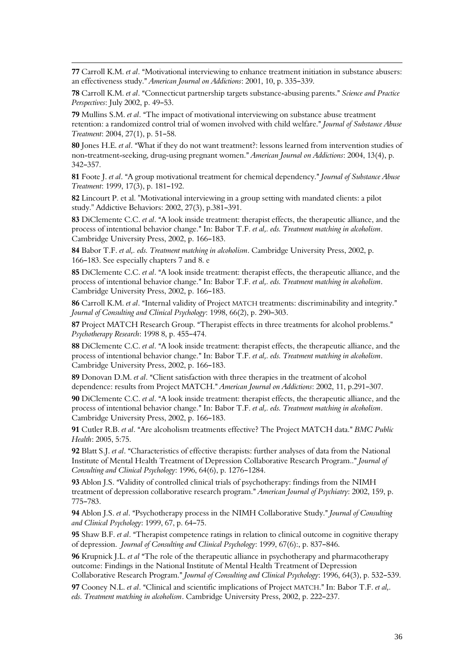77 Carroll K.M. *et al.* "Motivational interviewing to enhance treatment initiation in substance abusers: an effectiveness study." American Journal on Addictions: 2001, 10, p. 335-339.

 $\overline{a}$ 

78 Carroll K.M. et al. "Connecticut partnership targets substance-abusing parents." Science and Practice Perspectives: July 2002, p. 49-53.

79 Mullins S.M. et al.  $*$ The impact of motivational interviewing on substance abuse treatment retention: a randomized control trial of women involved with child welfare." Journal of Substance Abuse Treatment: 2004, 27(1), p. 51-58.

80 Jones H.E. et al. "What if they do not want treatment?: lessons learned from intervention studies of non-treatment-seeking, drug-using pregnant women." American Journal on Addictions: 2004, 13(4), p.  $342 - 357$ .

81 Foote J. et al. "A group motivational treatment for chemical dependency." Journal of Substance Abuse Treatment: 1999, 17(3), p. 181-192.

82 Lincourt P. et al. "Motivational interviewing in a group setting with mandated clients: a pilot study." Addictive Behaviors: 2002, 27(3), p.381-391.

83 DiClemente C.C. *et al.* "A look inside treatment: therapist effects, the therapeutic alliance, and the process of intentional behavior change." In: Babor T.F. et al,. eds. Treatment matching in alcoholism. Cambridge University Press, 2002, p. 166-183.

84 Babor T.F. et al., eds. Treatment matching in alcoholism. Cambridge University Press, 2002, p. 166-183. See especially chapters 7 and 8. e

85 DiClemente C.C. et al. "A look inside treatment: therapist effects, the therapeutic alliance, and the process of intentional behavior change." In: Babor T.F. et al,. eds. Treatment matching in alcoholism. Cambridge University Press, 2002, p. 166-183.

86 Carroll K.M. et al. "Internal validity of Project MATCH treatments: discriminability and integrity." Journal of Consulting and Clinical Psychology: 1998, 66(2), p. 290-303.

87 Project MATCH Research Group. "Therapist effects in three treatments for alcohol problems." Psychotherapy Research: 1998 8, p. 455-474.

88 DiClemente C.C. et al. "A look inside treatment: therapist effects, the therapeutic alliance, and the process of intentional behavior change." In: Babor T.F. et al,. eds. Treatment matching in alcoholism. Cambridge University Press, 2002, p. 166-183.

89 Donovan D.M. et al. "Client satisfaction with three therapies in the treatment of alcohol dependence: results from Project MATCH." American Journal on Addictions: 2002, 11, p.291-307.

90 DiClemente C.C. et al. "A look inside treatment: therapist effects, the therapeutic alliance, and the process of intentional behavior change." In: Babor T.F. et al,. eds. Treatment matching in alcoholism. Cambridge University Press, 2002, p. 166-183.

91 Cutler R.B. et al. "Are alcoholism treatments effective? The Project MATCH data." BMC Public Health: 2005, 5:75.

92 Blatt S.J. et al. "Characteristics of effective therapists: further analyses of data from the National Institute of Mental Health Treatment of Depression Collaborative Research Program.." Journal of Consulting and Clinical Psychology: 1996, 64(6), p. 1276-1284.

93 Ablon J.S. "Validity of controlled clinical trials of psychotherapy: findings from the NIMH treatment of depression collaborative research program." American Journal of Psychiatry: 2002, 159, p. 775-783.

94 Ablon J.S. et al. "Psychotherapy process in the NIMH Collaborative Study." Journal of Consulting and Clinical Psychology: 1999, 67, p. 64-75.

95 Shaw B.F. et al. "Therapist competence ratings in relation to clinical outcome in cognitive therapy of depression. Journal of Consulting and Clinical Psychology: 1999, 67(6):, p. 837–846.

**96** Krupnick J.L. *et al* "The role of the therapeutic alliance in psychotherapy and pharmacotherapy outcome: Findings in the National Institute of Mental Health Treatment of Depression Collaborative Research Program." Journal of Consulting and Clinical Psychology: 1996, 64(3), p. 532-539.

97 Cooney N.L. et al. "Clinical and scientific implications of Project MATCH." In: Babor T.F. et al,. eds. Treatment matching in alcoholism. Cambridge University Press, 2002, p. 222-237.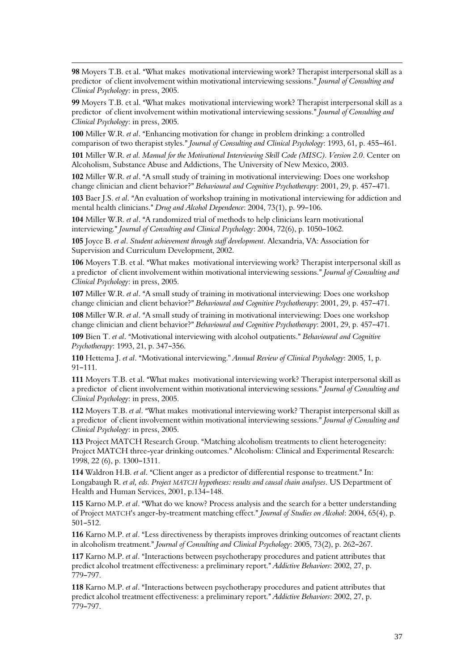98 Movers T.B. et al. "What makes motivational interviewing work? Therapist interpersonal skill as a predictor of client involvement within motivational interviewing sessions." Journal of Consulting and Clinical Psychology: in press, 2005.

 $\overline{a}$ 

99 Movers T.B. et al. "What makes motivational interviewing work? Therapist interpersonal skill as a predictor of client involvement within motivational interviewing sessions." Journal of Consulting and Clinical Psychology: in press, 2005.

100 Miller W.R. et al. "Enhancing motivation for change in problem drinking: a controlled comparison of two therapist styles." Journal of Consulting and Clinical Psychology: 1993, 61, p. 455-461.

101 Miller W.R. et al. Manual for the Motivational Interviewing Skill Code (MISC). Version 2.0. Center on Alcoholism, Substance Abuse and Addictions, The University of New Mexico, 2003.

102 Miller W.R. et al. "A small study of training in motivational interviewing: Does one workshop change clinician and client behavior?" Behavioural and Cognitive Psychotherapy: 2001, 29, p. 457–471.

103 Baer J.S. et al. "An evaluation of workshop training in motivational interviewing for addiction and mental health clinicians." Drug and Alcohol Dependence: 2004, 73(1), p. 99–106.

104 Miller W.R. et al. "A randomized trial of methods to help clinicians learn motivational interviewing." Journal of Consulting and Clinical Psychology: 2004, 72(6), p. 1050-1062.

105 Joyce B. et al. Student achievement through staff development. Alexandria, VA: Association for Supervision and Curriculum Development, 2002.

106 Moyers T.B. et al. "What makes motivational interviewing work? Therapist interpersonal skill as a predictor of client involvement within motivational interviewing sessions." Journal of Consulting and Clinical Psychology: in press, 2005.

107 Miller W.R. et al. "A small study of training in motivational interviewing: Does one workshop change clinician and client behavior?" Behavioural and Cognitive Psychotherapy: 2001, 29, p. 457-471.

108 Miller W.R. et al. "A small study of training in motivational interviewing: Does one workshop change clinician and client behavior?" Behavioural and Cognitive Psychotherapy: 2001, 29, p. 457-471.

109 Bien T. et al. "Motivational interviewing with alcohol outpatients." Behavioural and Cognitive Psychotherapy: 1993, 21, p. 347-356.

110 Hettema J. et al. "Motivational interviewing." Annual Review of Clinical Psychology: 2005, 1, p.  $91 - 111.$ 

111 Moyers T.B. et al. "What makes motivational interviewing work? Therapist interpersonal skill as a predictor of client involvement within motivational interviewing sessions." Journal of Consulting and Clinical Psychology: in press, 2005.

112 Moyers T.B. et al. "What makes motivational interviewing work? Therapist interpersonal skill as a predictor of client involvement within motivational interviewing sessions." Journal of Consulting and Clinical Psychology: in press, 2005.

113 Project MATCH Research Group. "Matching alcoholism treatments to client heterogeneity: Project MATCH three-year drinking outcomes." Alcoholism: Clinical and Experimental Research: 1998, 22 (6), p. 1300-1311.

114 Waldron H.B. et al. "Client anger as a predictor of differential response to treatment." In: Longabaugh R. et al, eds. Project MATCH hypotheses: results and causal chain analyses. US Department of Health and Human Services, 2001, p.134-148.

115 Karno M.P. et al. "What do we know? Process analysis and the search for a better understanding of Project MATCH's anger-by-treatment matching effect." Journal of Studies on Alcohol: 2004, 65(4), p. 501-512.

116 Karno M.P. et al. "Less directiveness by therapists improves drinking outcomes of reactant clients in alcoholism treatment." Journal of Consulting and Clinical Psychology: 2005, 73(2), p. 262-267.

117 Karno M.P. et al. "Interactions between psychotherapy procedures and patient attributes that predict alcohol treatment effectiveness: a preliminary report." Addictive Behaviors: 2002, 27, p. 779-797.

118 Karno M.P. et al. "Interactions between psychotherapy procedures and patient attributes that predict alcohol treatment effectiveness: a preliminary report." Addictive Behaviors: 2002, 27, p. 779-797.